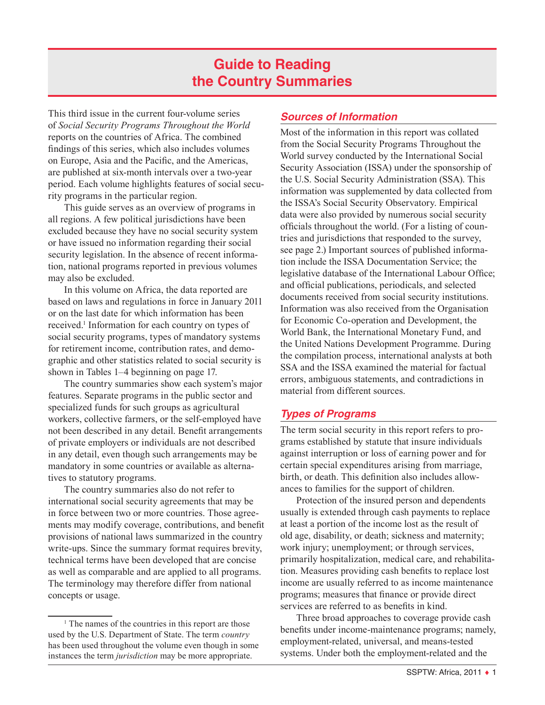# **Guide to Reading the Country Summaries**

This third issue in the current four-volume series of *Social Security Programs Throughout the World* reports on the countries of Africa. The combined findings of this series, which also includes volumes on Europe, Asia and the Pacific, and the Americas, are published at six-month intervals over a two-year period. Each volume highlights features of social security programs in the particular region.

This guide serves as an overview of programs in all regions. A few political jurisdictions have been excluded because they have no social security system or have issued no information regarding their social security legislation. In the absence of recent information, national programs reported in previous volumes may also be excluded.

In this volume on Africa, the data reported are based on laws and regulations in force in January 2011 or on the last date for which information has been received.<sup>1</sup> Information for each country on types of social security programs, types of mandatory systems for retirement income, contribution rates, and demographic and other statistics related to social security is shown in Tables 1–4 beginning on page 17.

The country summaries show each system's major features. Separate programs in the public sector and specialized funds for such groups as agricultural workers, collective farmers, or the self-employed have not been described in any detail. Benefit arrangements of private employers or individuals are not described in any detail, even though such arrangements may be mandatory in some countries or available as alternatives to statutory programs.

The country summaries also do not refer to international social security agreements that may be in force between two or more countries. Those agreements may modify coverage, contributions, and benefit provisions of national laws summarized in the country write-ups. Since the summary format requires brevity, technical terms have been developed that are concise as well as comparable and are applied to all programs. The terminology may therefore differ from national concepts or usage.

### *Sources of Information*

Most of the information in this report was collated from the Social Security Programs Throughout the World survey conducted by the International Social Security Association (ISSA) under the sponsorship of the U.S. Social Security Administration (SSA). This information was supplemented by data collected from the ISSA's Social Security Observatory. Empirical data were also provided by numerous social security officials throughout the world. (For a listing of countries and jurisdictions that responded to the survey, see page 2.) Important sources of published information include the ISSA Documentation Service; the legislative database of the International Labour Office; and official publications, periodicals, and selected documents received from social security institutions. Information was also received from the Organisation for Economic Co-operation and Development, the World Bank, the International Monetary Fund, and the United Nations Development Programme. During the compilation process, international analysts at both SSA and the ISSA examined the material for factual errors, ambiguous statements, and contradictions in material from different sources.

### *Types of Programs*

The term social security in this report refers to programs established by statute that insure individuals against interruption or loss of earning power and for certain special expenditures arising from marriage, birth, or death. This definition also includes allowances to families for the support of children.

Protection of the insured person and dependents usually is extended through cash payments to replace at least a portion of the income lost as the result of old age, disability, or death; sickness and maternity; work injury; unemployment; or through services, primarily hospitalization, medical care, and rehabilitation. Measures providing cash benefits to replace lost income are usually referred to as income maintenance programs; measures that finance or provide direct services are referred to as benefits in kind.

Three broad approaches to coverage provide cash benefits under income-maintenance programs; namely, employment-related, universal, and means-tested systems. Under both the employment-related and the

<sup>&</sup>lt;sup>1</sup> The names of the countries in this report are those used by the U.S. Department of State. The term *country* has been used throughout the volume even though in some instances the term *jurisdiction* may be more appropriate.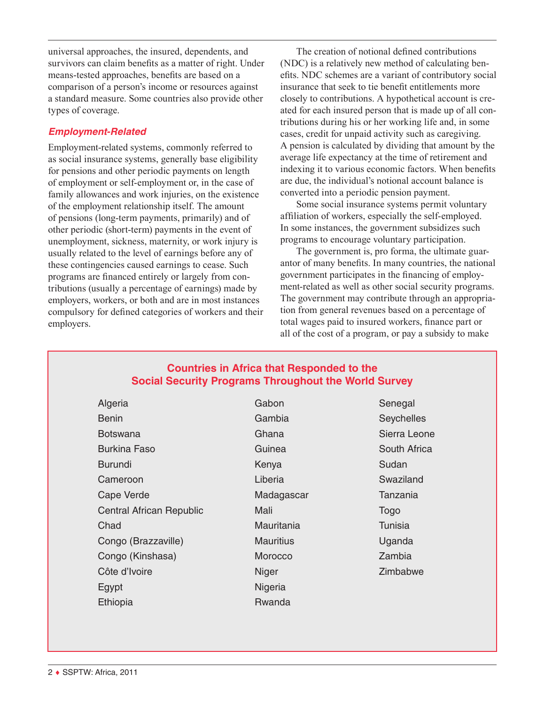universal approaches, the insured, dependents, and survivors can claim benefits as a matter of right. Under means-tested approaches, benefits are based on a comparison of a person's income or resources against a standard measure. Some countries also provide other types of coverage.

### *Employment-Related*

Employment-related systems, commonly referred to as social insurance systems, generally base eligibility for pensions and other periodic payments on length of employment or self-employment or, in the case of family allowances and work injuries, on the existence of the employment relationship itself. The amount of pensions (long-term payments, primarily) and of other periodic (short-term) payments in the event of unemployment, sickness, maternity, or work injury is usually related to the level of earnings before any of these contingencies caused earnings to cease. Such programs are financed entirely or largely from contributions (usually a percentage of earnings) made by employers, workers, or both and are in most instances compulsory for defined categories of workers and their employers.

The creation of notional defined contributions (NDC) is a relatively new method of calculating benefits. NDC schemes are a variant of contributory social insurance that seek to tie benefit entitlements more closely to contributions. A hypothetical account is created for each insured person that is made up of all contributions during his or her working life and, in some cases, credit for unpaid activity such as caregiving. A pension is calculated by dividing that amount by the average life expectancy at the time of retirement and indexing it to various economic factors. When benefits are due, the individual's notional account balance is converted into a periodic pension payment.

Some social insurance systems permit voluntary affiliation of workers, especially the self-employed. In some instances, the government subsidizes such programs to encourage voluntary participation.

The government is, pro forma, the ultimate guarantor of many benefits. In many countries, the national government participates in the financing of employment-related as well as other social security programs. The government may contribute through an appropriation from general revenues based on a percentage of total wages paid to insured workers, finance part or all of the cost of a program, or pay a subsidy to make

### **Countries in Africa that Responded to the Social Security Programs Throughout the World Survey**

| Algeria                         | Gabon            | Senegal        |
|---------------------------------|------------------|----------------|
| <b>Benin</b>                    | Gambia           | Seychelles     |
| <b>Botswana</b>                 | Ghana            | Sierra Leone   |
| <b>Burkina Faso</b>             | Guinea           | South Africa   |
| <b>Burundi</b>                  | Kenya            | Sudan          |
| Cameroon                        | Liberia          | Swaziland      |
| Cape Verde                      | Madagascar       | Tanzania       |
| <b>Central African Republic</b> | Mali             | <b>Togo</b>    |
| Chad                            | Mauritania       | <b>Tunisia</b> |
| Congo (Brazzaville)             | <b>Mauritius</b> | Uganda         |
| Congo (Kinshasa)                | Morocco          | Zambia         |
| Côte d'Ivoire                   | Niger            | Zimbabwe       |
| Egypt                           | Nigeria          |                |
| Ethiopia                        | Rwanda           |                |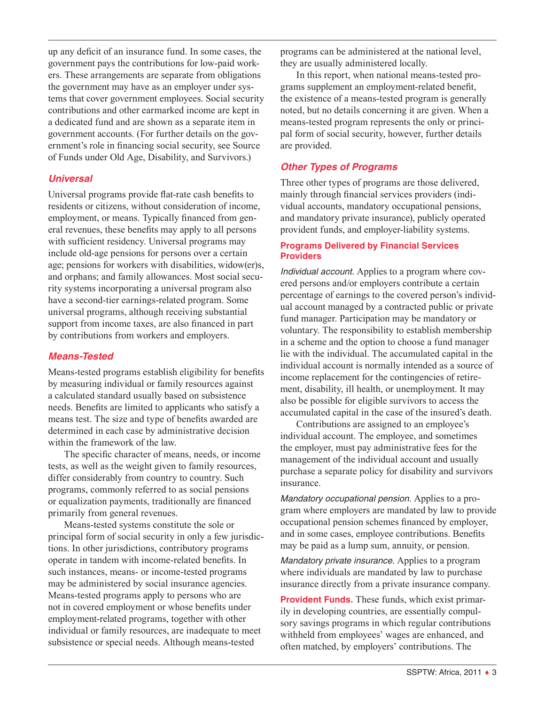up any deficit of an insurance fund. In some cases, the government pays the contributions for low-paid workers. These arrangements are separate from obligations the government may have as an employer under systems that cover government employees. Social security contributions and other earmarked income are kept in a dedicated fund and are shown as a separate item in government accounts. (For further details on the government's role in financing social security, see Source of Funds under Old Age, Disability, and Survivors.)

#### *Universal*

Universal programs provide flat-rate cash benefits to residents or citizens, without consideration of income, employment, or means. Typically financed from general revenues, these benefits may apply to all persons with sufficient residency. Universal programs may include old-age pensions for persons over a certain age; pensions for workers with disabilities, widow(er)s, and orphans; and family allowances. Most social security systems incorporating a universal program also have a second-tier earnings-related program. Some universal programs, although receiving substantial support from income taxes, are also financed in part by contributions from workers and employers.

#### *Means-Tested*

Means-tested programs establish eligibility for benefits by measuring individual or family resources against a calculated standard usually based on subsistence needs. Benefits are limited to applicants who satisfy a means test. The size and type of benefits awarded are determined in each case by administrative decision within the framework of the law.

The specific character of means, needs, or income tests, as well as the weight given to family resources, differ considerably from country to country. Such programs, commonly referred to as social pensions or equalization payments, traditionally are financed primarily from general revenues.

Means-tested systems constitute the sole or principal form of social security in only a few jurisdictions. In other jurisdictions, contributory programs operate in tandem with income-related benefits. In such instances, means- or income-tested programs may be administered by social insurance agencies. Means-tested programs apply to persons who are not in covered employment or whose benefits under employment-related programs, together with other individual or family resources, are inadequate to meet subsistence or special needs. Although means-tested

programs can be administered at the national level, they are usually administered locally.

In this report, when national means-tested programs supplement an employment-related benefit, the existence of a means-tested program is generally noted, but no details concerning it are given. When a means-tested program represents the only or principal form of social security, however, further details are provided.

### *Other Types of Programs*

Three other types of programs are those delivered, mainly through financial services providers (individual accounts, mandatory occupational pensions, and mandatory private insurance), publicly operated provident funds, and employer-liability systems.

#### **Programs Delivered by Financial Services Providers**

*Individual account.* Applies to a program where covered persons and/or employers contribute a certain percentage of earnings to the covered person's individual account managed by a contracted public or private fund manager. Participation may be mandatory or voluntary. The responsibility to establish membership in a scheme and the option to choose a fund manager lie with the individual. The accumulated capital in the individual account is normally intended as a source of income replacement for the contingencies of retirement, disability, ill health, or unemployment. It may also be possible for eligible survivors to access the accumulated capital in the case of the insured's death.

Contributions are assigned to an employee's individual account. The employee, and sometimes the employer, must pay administrative fees for the management of the individual account and usually purchase a separate policy for disability and survivors insurance.

*Mandatory occupational pension.* Applies to a program where employers are mandated by law to provide occupational pension schemes financed by employer, and in some cases, employee contributions. Benefits may be paid as a lump sum, annuity, or pension.

*Mandatory private insurance.* Applies to a program where individuals are mandated by law to purchase insurance directly from a private insurance company.

**Provident Funds.** These funds, which exist primarily in developing countries, are essentially compulsory savings programs in which regular contributions withheld from employees' wages are enhanced, and often matched, by employers' contributions. The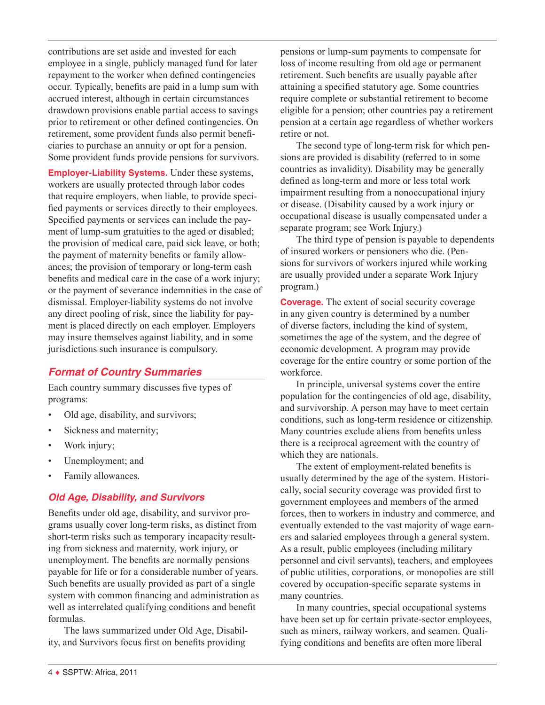contributions are set aside and invested for each employee in a single, publicly managed fund for later repayment to the worker when defined contingencies occur. Typically, benefits are paid in a lump sum with accrued interest, although in certain circumstances drawdown provisions enable partial access to savings prior to retirement or other defined contingencies. On retirement, some provident funds also permit beneficiaries to purchase an annuity or opt for a pension. Some provident funds provide pensions for survivors.

**Employer-Liability Systems.** Under these systems, workers are usually protected through labor codes that require employers, when liable, to provide specified payments or services directly to their employees. Specified payments or services can include the payment of lump-sum gratuities to the aged or disabled; the provision of medical care, paid sick leave, or both; the payment of maternity benefits or family allowances; the provision of temporary or long-term cash benefits and medical care in the case of a work injury; or the payment of severance indemnities in the case of dismissal. Employer-liability systems do not involve any direct pooling of risk, since the liability for payment is placed directly on each employer. Employers may insure themselves against liability, and in some jurisdictions such insurance is compulsory.

### *Format of Country Summaries*

Each country summary discusses five types of programs:

- Old age, disability, and survivors;
- Sickness and maternity;
- Work injury;
- Unemployment; and
- Family allowances.

#### *Old Age, Disability, and Survivors*

Benefits under old age, disability, and survivor programs usually cover long-term risks, as distinct from short-term risks such as temporary incapacity resulting from sickness and maternity, work injury, or unemployment. The benefits are normally pensions payable for life or for a considerable number of years. Such benefits are usually provided as part of a single system with common financing and administration as well as interrelated qualifying conditions and benefit formulas.

The laws summarized under Old Age, Disability, and Survivors focus first on benefits providing

pensions or lump-sum payments to compensate for loss of income resulting from old age or permanent retirement. Such benefits are usually payable after attaining a specified statutory age. Some countries require complete or substantial retirement to become eligible for a pension; other countries pay a retirement pension at a certain age regardless of whether workers retire or not.

The second type of long-term risk for which pensions are provided is disability (referred to in some countries as invalidity). Disability may be generally defined as long-term and more or less total work impairment resulting from a nonoccupational injury or disease. (Disability caused by a work injury or occupational disease is usually compensated under a separate program; see Work Injury.)

The third type of pension is payable to dependents of insured workers or pensioners who die. (Pensions for survivors of workers injured while working are usually provided under a separate Work Injury program.)

**Coverage.** The extent of social security coverage in any given country is determined by a number of diverse factors, including the kind of system, sometimes the age of the system, and the degree of economic development. A program may provide coverage for the entire country or some portion of the workforce.

In principle, universal systems cover the entire population for the contingencies of old age, disability, and survivorship. A person may have to meet certain conditions, such as long-term residence or citizenship. Many countries exclude aliens from benefits unless there is a reciprocal agreement with the country of which they are nationals.

The extent of employment-related benefits is usually determined by the age of the system. Historically, social security coverage was provided first to government employees and members of the armed forces, then to workers in industry and commerce, and eventually extended to the vast majority of wage earners and salaried employees through a general system. As a result, public employees (including military personnel and civil servants), teachers, and employees of public utilities, corporations, or monopolies are still covered by occupation-specific separate systems in many countries.

In many countries, special occupational systems have been set up for certain private-sector employees, such as miners, railway workers, and seamen. Qualifying conditions and benefits are often more liberal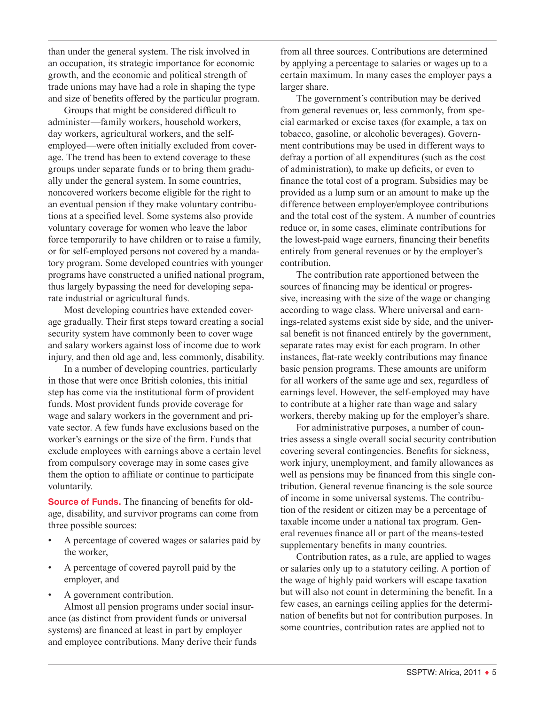than under the general system. The risk involved in an occupation, its strategic importance for economic growth, and the economic and political strength of trade unions may have had a role in shaping the type and size of benefits offered by the particular program.

Groups that might be considered difficult to administer—family workers, household workers, day workers, agricultural workers, and the selfemployed—were often initially excluded from coverage. The trend has been to extend coverage to these groups under separate funds or to bring them gradually under the general system. In some countries, noncovered workers become eligible for the right to an eventual pension if they make voluntary contributions at a specified level. Some systems also provide voluntary coverage for women who leave the labor force temporarily to have children or to raise a family, or for self-employed persons not covered by a mandatory program. Some developed countries with younger programs have constructed a unified national program, thus largely bypassing the need for developing separate industrial or agricultural funds.

Most developing countries have extended coverage gradually. Their first steps toward creating a social security system have commonly been to cover wage and salary workers against loss of income due to work injury, and then old age and, less commonly, disability.

In a number of developing countries, particularly in those that were once British colonies, this initial step has come via the institutional form of provident funds. Most provident funds provide coverage for wage and salary workers in the government and private sector. A few funds have exclusions based on the worker's earnings or the size of the firm. Funds that exclude employees with earnings above a certain level from compulsory coverage may in some cases give them the option to affiliate or continue to participate voluntarily.

**Source of Funds.** The financing of benefits for oldage, disability, and survivor programs can come from three possible sources:

- A percentage of covered wages or salaries paid by the worker,
- A percentage of covered payroll paid by the employer, and
- A government contribution.

Almost all pension programs under social insurance (as distinct from provident funds or universal systems) are financed at least in part by employer and employee contributions. Many derive their funds from all three sources. Contributions are determined by applying a percentage to salaries or wages up to a certain maximum. In many cases the employer pays a larger share.

The government's contribution may be derived from general revenues or, less commonly, from special earmarked or excise taxes (for example, a tax on tobacco, gasoline, or alcoholic beverages). Government contributions may be used in different ways to defray a portion of all expenditures (such as the cost of administration), to make up deficits, or even to finance the total cost of a program. Subsidies may be provided as a lump sum or an amount to make up the difference between employer/employee contributions and the total cost of the system. A number of countries reduce or, in some cases, eliminate contributions for the lowest-paid wage earners, financing their benefits entirely from general revenues or by the employer's contribution.

The contribution rate apportioned between the sources of financing may be identical or progressive, increasing with the size of the wage or changing according to wage class. Where universal and earnings-related systems exist side by side, and the universal benefit is not financed entirely by the government, separate rates may exist for each program. In other instances, flat-rate weekly contributions may finance basic pension programs. These amounts are uniform for all workers of the same age and sex, regardless of earnings level. However, the self-employed may have to contribute at a higher rate than wage and salary workers, thereby making up for the employer's share.

For administrative purposes, a number of countries assess a single overall social security contribution covering several contingencies. Benefits for sickness, work injury, unemployment, and family allowances as well as pensions may be financed from this single contribution. General revenue financing is the sole source of income in some universal systems. The contribution of the resident or citizen may be a percentage of taxable income under a national tax program. General revenues finance all or part of the means-tested supplementary benefits in many countries.

Contribution rates, as a rule, are applied to wages or salaries only up to a statutory ceiling. A portion of the wage of highly paid workers will escape taxation but will also not count in determining the benefit. In a few cases, an earnings ceiling applies for the determination of benefits but not for contribution purposes. In some countries, contribution rates are applied not to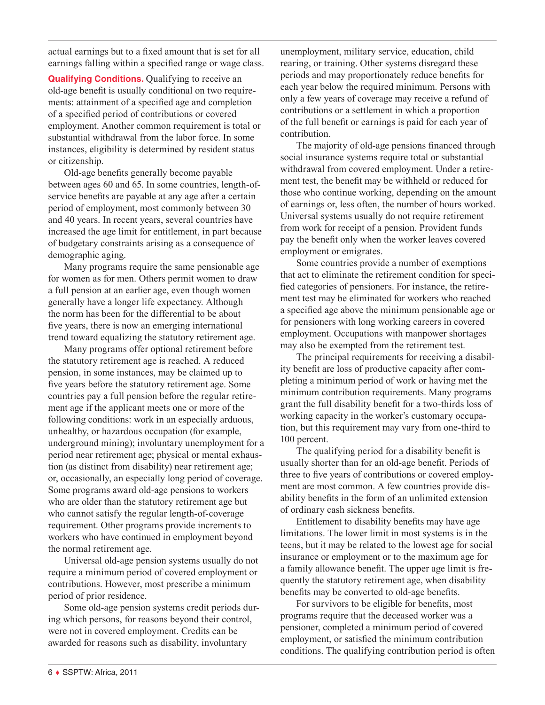actual earnings but to a fixed amount that is set for all earnings falling within a specified range or wage class.

**Qualifying Conditions.** Qualifying to receive an old-age benefit is usually conditional on two requirements: attainment of a specified age and completion of a specified period of contributions or covered employment. Another common requirement is total or substantial withdrawal from the labor force. In some instances, eligibility is determined by resident status or citizenship.

Old-age benefits generally become payable between ages 60 and 65. In some countries, length-ofservice benefits are payable at any age after a certain period of employment, most commonly between 30 and 40 years. In recent years, several countries have increased the age limit for entitlement, in part because of budgetary constraints arising as a consequence of demographic aging.

Many programs require the same pensionable age for women as for men. Others permit women to draw a full pension at an earlier age, even though women generally have a longer life expectancy. Although the norm has been for the differential to be about five years, there is now an emerging international trend toward equalizing the statutory retirement age.

Many programs offer optional retirement before the statutory retirement age is reached. A reduced pension, in some instances, may be claimed up to five years before the statutory retirement age. Some countries pay a full pension before the regular retirement age if the applicant meets one or more of the following conditions: work in an especially arduous, unhealthy, or hazardous occupation (for example, underground mining); involuntary unemployment for a period near retirement age; physical or mental exhaustion (as distinct from disability) near retirement age; or, occasionally, an especially long period of coverage. Some programs award old-age pensions to workers who are older than the statutory retirement age but who cannot satisfy the regular length-of-coverage requirement. Other programs provide increments to workers who have continued in employment beyond the normal retirement age.

Universal old-age pension systems usually do not require a minimum period of covered employment or contributions. However, most prescribe a minimum period of prior residence.

Some old-age pension systems credit periods during which persons, for reasons beyond their control, were not in covered employment. Credits can be awarded for reasons such as disability, involuntary

unemployment, military service, education, child rearing, or training. Other systems disregard these periods and may proportionately reduce benefits for each year below the required minimum. Persons with only a few years of coverage may receive a refund of contributions or a settlement in which a proportion of the full benefit or earnings is paid for each year of contribution.

The majority of old-age pensions financed through social insurance systems require total or substantial withdrawal from covered employment. Under a retirement test, the benefit may be withheld or reduced for those who continue working, depending on the amount of earnings or, less often, the number of hours worked. Universal systems usually do not require retirement from work for receipt of a pension. Provident funds pay the benefit only when the worker leaves covered employment or emigrates.

Some countries provide a number of exemptions that act to eliminate the retirement condition for specified categories of pensioners. For instance, the retirement test may be eliminated for workers who reached a specified age above the minimum pensionable age or for pensioners with long working careers in covered employment. Occupations with manpower shortages may also be exempted from the retirement test.

The principal requirements for receiving a disability benefit are loss of productive capacity after completing a minimum period of work or having met the minimum contribution requirements. Many programs grant the full disability benefit for a two-thirds loss of working capacity in the worker's customary occupation, but this requirement may vary from one-third to 100 percent.

The qualifying period for a disability benefit is usually shorter than for an old-age benefit. Periods of three to five years of contributions or covered employment are most common. A few countries provide disability benefits in the form of an unlimited extension of ordinary cash sickness benefits.

Entitlement to disability benefits may have age limitations. The lower limit in most systems is in the teens, but it may be related to the lowest age for social insurance or employment or to the maximum age for a family allowance benefit. The upper age limit is frequently the statutory retirement age, when disability benefits may be converted to old-age benefits.

For survivors to be eligible for benefits, most programs require that the deceased worker was a pensioner, completed a minimum period of covered employment, or satisfied the minimum contribution conditions. The qualifying contribution period is often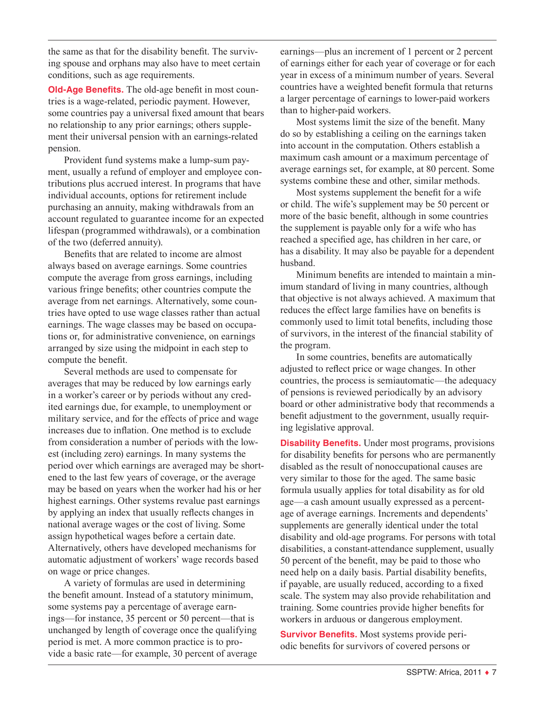the same as that for the disability benefit. The surviving spouse and orphans may also have to meet certain conditions, such as age requirements.

**Old-Age Benefits.** The old-age benefit in most countries is a wage-related, periodic payment. However, some countries pay a universal fixed amount that bears no relationship to any prior earnings; others supplement their universal pension with an earnings-related pension.

Provident fund systems make a lump-sum payment, usually a refund of employer and employee contributions plus accrued interest. In programs that have individual accounts, options for retirement include purchasing an annuity, making withdrawals from an account regulated to guarantee income for an expected lifespan (programmed withdrawals), or a combination of the two (deferred annuity).

Benefits that are related to income are almost always based on average earnings. Some countries compute the average from gross earnings, including various fringe benefits; other countries compute the average from net earnings. Alternatively, some countries have opted to use wage classes rather than actual earnings. The wage classes may be based on occupations or, for administrative convenience, on earnings arranged by size using the midpoint in each step to compute the benefit.

Several methods are used to compensate for averages that may be reduced by low earnings early in a worker's career or by periods without any credited earnings due, for example, to unemployment or military service, and for the effects of price and wage increases due to inflation. One method is to exclude from consideration a number of periods with the lowest (including zero) earnings. In many systems the period over which earnings are averaged may be shortened to the last few years of coverage, or the average may be based on years when the worker had his or her highest earnings. Other systems revalue past earnings by applying an index that usually reflects changes in national average wages or the cost of living. Some assign hypothetical wages before a certain date. Alternatively, others have developed mechanisms for automatic adjustment of workers' wage records based on wage or price changes.

A variety of formulas are used in determining the benefit amount. Instead of a statutory minimum, some systems pay a percentage of average earnings—for instance, 35 percent or 50 percent—that is unchanged by length of coverage once the qualifying period is met. A more common practice is to provide a basic rate—for example, 30 percent of average earnings—plus an increment of 1 percent or 2 percent of earnings either for each year of coverage or for each year in excess of a minimum number of years. Several countries have a weighted benefit formula that returns a larger percentage of earnings to lower-paid workers than to higher-paid workers.

Most systems limit the size of the benefit. Many do so by establishing a ceiling on the earnings taken into account in the computation. Others establish a maximum cash amount or a maximum percentage of average earnings set, for example, at 80 percent. Some systems combine these and other, similar methods.

Most systems supplement the benefit for a wife or child. The wife's supplement may be 50 percent or more of the basic benefit, although in some countries the supplement is payable only for a wife who has reached a specified age, has children in her care, or has a disability. It may also be payable for a dependent husband.

Minimum benefits are intended to maintain a minimum standard of living in many countries, although that objective is not always achieved. A maximum that reduces the effect large families have on benefits is commonly used to limit total benefits, including those of survivors, in the interest of the financial stability of the program.

In some countries, benefits are automatically adjusted to reflect price or wage changes. In other countries, the process is semiautomatic—the adequacy of pensions is reviewed periodically by an advisory board or other administrative body that recommends a benefit adjustment to the government, usually requiring legislative approval.

**Disability Benefits.** Under most programs, provisions for disability benefits for persons who are permanently disabled as the result of nonoccupational causes are very similar to those for the aged. The same basic formula usually applies for total disability as for old age—a cash amount usually expressed as a percentage of average earnings. Increments and dependents' supplements are generally identical under the total disability and old-age programs. For persons with total disabilities, a constant-attendance supplement, usually 50 percent of the benefit, may be paid to those who need help on a daily basis. Partial disability benefits, if payable, are usually reduced, according to a fixed scale. The system may also provide rehabilitation and training. Some countries provide higher benefits for workers in arduous or dangerous employment.

**Survivor Benefits.** Most systems provide periodic benefits for survivors of covered persons or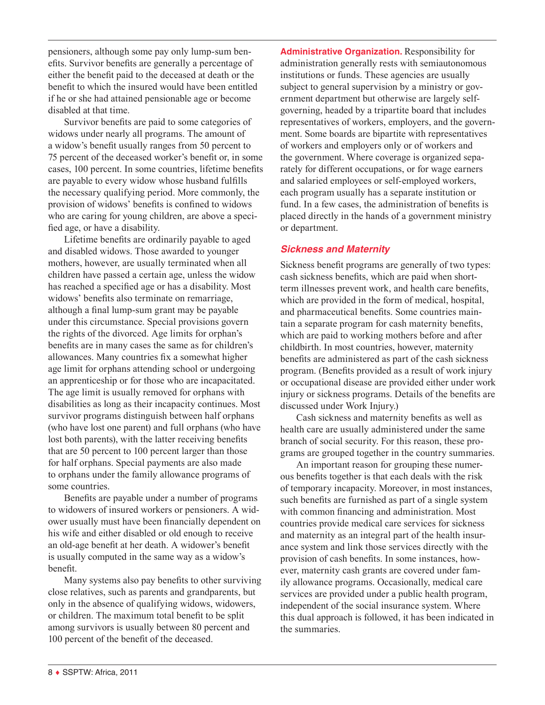pensioners, although some pay only lump-sum benefits. Survivor benefits are generally a percentage of either the benefit paid to the deceased at death or the benefit to which the insured would have been entitled if he or she had attained pensionable age or become disabled at that time.

Survivor benefits are paid to some categories of widows under nearly all programs. The amount of a widow's benefit usually ranges from 50 percent to 75 percent of the deceased worker's benefit or, in some cases, 100 percent. In some countries, lifetime benefits are payable to every widow whose husband fulfills the necessary qualifying period. More commonly, the provision of widows' benefits is confined to widows who are caring for young children, are above a specified age, or have a disability.

Lifetime benefits are ordinarily payable to aged and disabled widows. Those awarded to younger mothers, however, are usually terminated when all children have passed a certain age, unless the widow has reached a specified age or has a disability. Most widows' benefits also terminate on remarriage, although a final lump-sum grant may be payable under this circumstance. Special provisions govern the rights of the divorced. Age limits for orphan's benefits are in many cases the same as for children's allowances. Many countries fix a somewhat higher age limit for orphans attending school or undergoing an apprenticeship or for those who are incapacitated. The age limit is usually removed for orphans with disabilities as long as their incapacity continues. Most survivor programs distinguish between half orphans (who have lost one parent) and full orphans (who have lost both parents), with the latter receiving benefits that are 50 percent to 100 percent larger than those for half orphans. Special payments are also made to orphans under the family allowance programs of some countries.

Benefits are payable under a number of programs to widowers of insured workers or pensioners. A widower usually must have been financially dependent on his wife and either disabled or old enough to receive an old-age benefit at her death. A widower's benefit is usually computed in the same way as a widow's benefit.

Many systems also pay benefits to other surviving close relatives, such as parents and grandparents, but only in the absence of qualifying widows, widowers, or children. The maximum total benefit to be split among survivors is usually between 80 percent and 100 percent of the benefit of the deceased.

**Administrative Organization.** Responsibility for administration generally rests with semiautonomous institutions or funds. These agencies are usually subject to general supervision by a ministry or government department but otherwise are largely selfgoverning, headed by a tripartite board that includes representatives of workers, employers, and the government. Some boards are bipartite with representatives of workers and employers only or of workers and the government. Where coverage is organized separately for different occupations, or for wage earners and salaried employees or self-employed workers, each program usually has a separate institution or fund. In a few cases, the administration of benefits is placed directly in the hands of a government ministry or department.

#### *Sickness and Maternity*

Sickness benefit programs are generally of two types: cash sickness benefits, which are paid when shortterm illnesses prevent work, and health care benefits, which are provided in the form of medical, hospital, and pharmaceutical benefits. Some countries maintain a separate program for cash maternity benefits, which are paid to working mothers before and after childbirth. In most countries, however, maternity benefits are administered as part of the cash sickness program. (Benefits provided as a result of work injury or occupational disease are provided either under work injury or sickness programs. Details of the benefits are discussed under Work Injury.)

Cash sickness and maternity benefits as well as health care are usually administered under the same branch of social security. For this reason, these programs are grouped together in the country summaries.

An important reason for grouping these numerous benefits together is that each deals with the risk of temporary incapacity. Moreover, in most instances, such benefits are furnished as part of a single system with common financing and administration. Most countries provide medical care services for sickness and maternity as an integral part of the health insurance system and link those services directly with the provision of cash benefits. In some instances, however, maternity cash grants are covered under family allowance programs. Occasionally, medical care services are provided under a public health program, independent of the social insurance system. Where this dual approach is followed, it has been indicated in the summaries.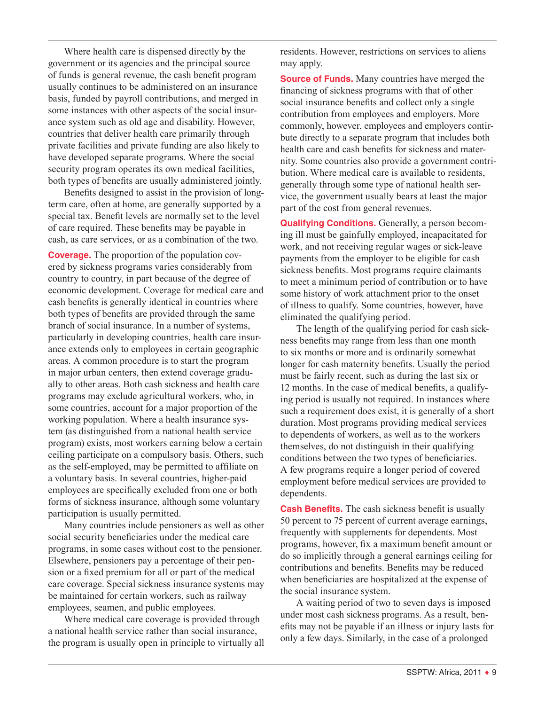Where health care is dispensed directly by the government or its agencies and the principal source of funds is general revenue, the cash benefit program usually continues to be administered on an insurance basis, funded by payroll contributions, and merged in some instances with other aspects of the social insurance system such as old age and disability. However, countries that deliver health care primarily through private facilities and private funding are also likely to have developed separate programs. Where the social security program operates its own medical facilities, both types of benefits are usually administered jointly.

Benefits designed to assist in the provision of longterm care, often at home, are generally supported by a special tax. Benefit levels are normally set to the level of care required. These benefits may be payable in cash, as care services, or as a combination of the two.

**Coverage.** The proportion of the population covered by sickness programs varies considerably from country to country, in part because of the degree of economic development. Coverage for medical care and cash benefits is generally identical in countries where both types of benefits are provided through the same branch of social insurance. In a number of systems, particularly in developing countries, health care insurance extends only to employees in certain geographic areas. A common procedure is to start the program in major urban centers, then extend coverage gradually to other areas. Both cash sickness and health care programs may exclude agricultural workers, who, in some countries, account for a major proportion of the working population. Where a health insurance system (as distinguished from a national health service program) exists, most workers earning below a certain ceiling participate on a compulsory basis. Others, such as the self-employed, may be permitted to affiliate on a voluntary basis. In several countries, higher-paid employees are specifically excluded from one or both forms of sickness insurance, although some voluntary participation is usually permitted.

Many countries include pensioners as well as other social security beneficiaries under the medical care programs, in some cases without cost to the pensioner. Elsewhere, pensioners pay a percentage of their pension or a fixed premium for all or part of the medical care coverage. Special sickness insurance systems may be maintained for certain workers, such as railway employees, seamen, and public employees.

Where medical care coverage is provided through a national health service rather than social insurance, the program is usually open in principle to virtually all residents. However, restrictions on services to aliens may apply.

**Source of Funds.** Many countries have merged the financing of sickness programs with that of other social insurance benefits and collect only a single contribution from employees and employers. More commonly, however, employees and employers contirbute directly to a separate program that includes both health care and cash benefits for sickness and maternity. Some countries also provide a government contribution. Where medical care is available to residents, generally through some type of national health service, the government usually bears at least the major part of the cost from general revenues.

**Qualifying Conditions.** Generally, a person becoming ill must be gainfully employed, incapacitated for work, and not receiving regular wages or sick-leave payments from the employer to be eligible for cash sickness benefits. Most programs require claimants to meet a minimum period of contribution or to have some history of work attachment prior to the onset of illness to qualify. Some countries, however, have eliminated the qualifying period.

The length of the qualifying period for cash sickness benefits may range from less than one month to six months or more and is ordinarily somewhat longer for cash maternity benefits. Usually the period must be fairly recent, such as during the last six or 12 months. In the case of medical benefits, a qualifying period is usually not required. In instances where such a requirement does exist, it is generally of a short duration. Most programs providing medical services to dependents of workers, as well as to the workers themselves, do not distinguish in their qualifying conditions between the two types of beneficiaries. A few programs require a longer period of covered employment before medical services are provided to dependents.

**Cash Benefits.** The cash sickness benefit is usually 50 percent to 75 percent of current average earnings, frequently with supplements for dependents. Most programs, however, fix a maximum benefit amount or do so implicitly through a general earnings ceiling for contributions and benefits. Benefits may be reduced when beneficiaries are hospitalized at the expense of the social insurance system.

A waiting period of two to seven days is imposed under most cash sickness programs. As a result, benefits may not be payable if an illness or injury lasts for only a few days. Similarly, in the case of a prolonged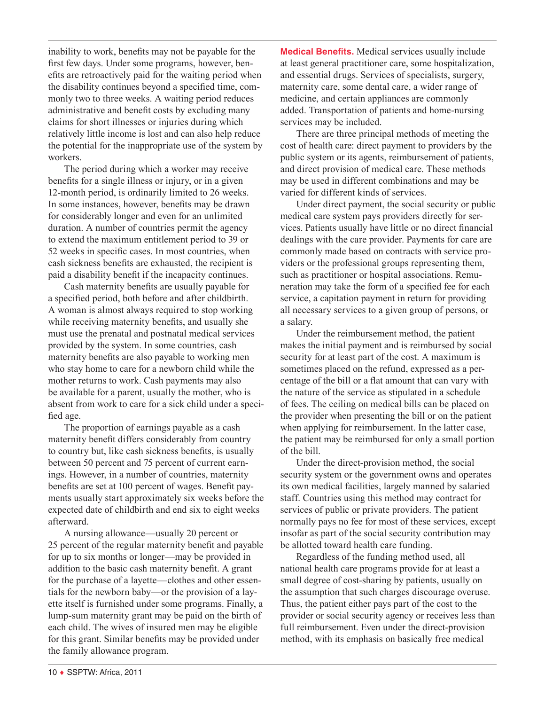inability to work, benefits may not be payable for the first few days. Under some programs, however, benefits are retroactively paid for the waiting period when the disability continues beyond a specified time, commonly two to three weeks. A waiting period reduces administrative and benefit costs by excluding many claims for short illnesses or injuries during which relatively little income is lost and can also help reduce the potential for the inappropriate use of the system by workers.

The period during which a worker may receive benefits for a single illness or injury, or in a given 12-month period, is ordinarily limited to 26 weeks. In some instances, however, benefits may be drawn for considerably longer and even for an unlimited duration. A number of countries permit the agency to extend the maximum entitlement period to 39 or 52 weeks in specific cases. In most countries, when cash sickness benefits are exhausted, the recipient is paid a disability benefit if the incapacity continues.

Cash maternity benefits are usually payable for a specified period, both before and after childbirth. A woman is almost always required to stop working while receiving maternity benefits, and usually she must use the prenatal and postnatal medical services provided by the system. In some countries, cash maternity benefits are also payable to working men who stay home to care for a newborn child while the mother returns to work. Cash payments may also be available for a parent, usually the mother, who is absent from work to care for a sick child under a specified age.

The proportion of earnings payable as a cash maternity benefit differs considerably from country to country but, like cash sickness benefits, is usually between 50 percent and 75 percent of current earnings. However, in a number of countries, maternity benefits are set at 100 percent of wages. Benefit payments usually start approximately six weeks before the expected date of childbirth and end six to eight weeks afterward.

A nursing allowance—usually 20 percent or 25 percent of the regular maternity benefit and payable for up to six months or longer—may be provided in addition to the basic cash maternity benefit. A grant for the purchase of a layette—clothes and other essentials for the newborn baby—or the provision of a layette itself is furnished under some programs. Finally, a lump-sum maternity grant may be paid on the birth of each child. The wives of insured men may be eligible for this grant. Similar benefits may be provided under the family allowance program.

**Medical Benefits.** Medical services usually include at least general practitioner care, some hospitalization, and essential drugs. Services of specialists, surgery, maternity care, some dental care, a wider range of medicine, and certain appliances are commonly added. Transportation of patients and home-nursing services may be included.

There are three principal methods of meeting the cost of health care: direct payment to providers by the public system or its agents, reimbursement of patients, and direct provision of medical care. These methods may be used in different combinations and may be varied for different kinds of services.

Under direct payment, the social security or public medical care system pays providers directly for services. Patients usually have little or no direct financial dealings with the care provider. Payments for care are commonly made based on contracts with service providers or the professional groups representing them, such as practitioner or hospital associations. Remuneration may take the form of a specified fee for each service, a capitation payment in return for providing all necessary services to a given group of persons, or a salary.

Under the reimbursement method, the patient makes the initial payment and is reimbursed by social security for at least part of the cost. A maximum is sometimes placed on the refund, expressed as a percentage of the bill or a flat amount that can vary with the nature of the service as stipulated in a schedule of fees. The ceiling on medical bills can be placed on the provider when presenting the bill or on the patient when applying for reimbursement. In the latter case, the patient may be reimbursed for only a small portion of the bill.

Under the direct-provision method, the social security system or the government owns and operates its own medical facilities, largely manned by salaried staff. Countries using this method may contract for services of public or private providers. The patient normally pays no fee for most of these services, except insofar as part of the social security contribution may be allotted toward health care funding.

Regardless of the funding method used, all national health care programs provide for at least a small degree of cost-sharing by patients, usually on the assumption that such charges discourage overuse. Thus, the patient either pays part of the cost to the provider or social security agency or receives less than full reimbursement. Even under the direct-provision method, with its emphasis on basically free medical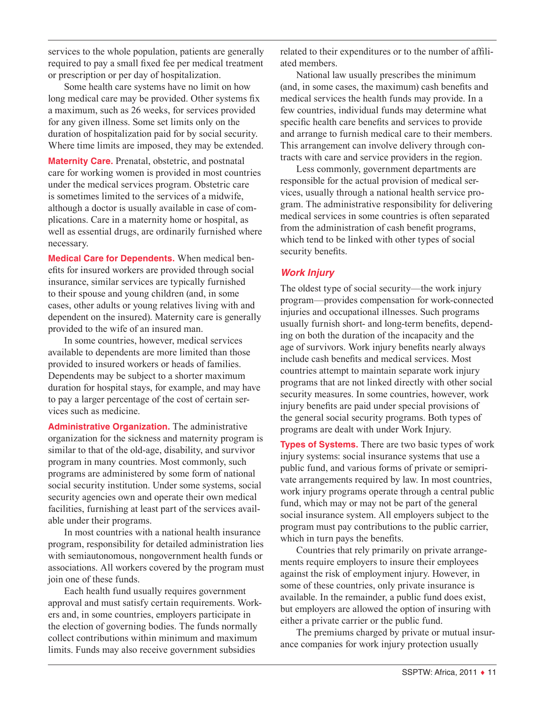services to the whole population, patients are generally required to pay a small fixed fee per medical treatment or prescription or per day of hospitalization.

Some health care systems have no limit on how long medical care may be provided. Other systems fix a maximum, such as 26 weeks, for services provided for any given illness. Some set limits only on the duration of hospitalization paid for by social security. Where time limits are imposed, they may be extended.

**Maternity Care.** Prenatal, obstetric, and postnatal care for working women is provided in most countries under the medical services program. Obstetric care is sometimes limited to the services of a midwife, although a doctor is usually available in case of complications. Care in a maternity home or hospital, as well as essential drugs, are ordinarily furnished where necessary.

**Medical Care for Dependents.** When medical benefits for insured workers are provided through social insurance, similar services are typically furnished to their spouse and young children (and, in some cases, other adults or young relatives living with and dependent on the insured). Maternity care is generally provided to the wife of an insured man.

In some countries, however, medical services available to dependents are more limited than those provided to insured workers or heads of families. Dependents may be subject to a shorter maximum duration for hospital stays, for example, and may have to pay a larger percentage of the cost of certain services such as medicine.

**Administrative Organization.** The administrative organization for the sickness and maternity program is similar to that of the old-age, disability, and survivor program in many countries. Most commonly, such programs are administered by some form of national social security institution. Under some systems, social security agencies own and operate their own medical facilities, furnishing at least part of the services available under their programs.

In most countries with a national health insurance program, responsibility for detailed administration lies with semiautonomous, nongovernment health funds or associations. All workers covered by the program must join one of these funds.

Each health fund usually requires government approval and must satisfy certain requirements. Workers and, in some countries, employers participate in the election of governing bodies. The funds normally collect contributions within minimum and maximum limits. Funds may also receive government subsidies

related to their expenditures or to the number of affiliated members.

National law usually prescribes the minimum (and, in some cases, the maximum) cash benefits and medical services the health funds may provide. In a few countries, individual funds may determine what specific health care benefits and services to provide and arrange to furnish medical care to their members. This arrangement can involve delivery through contracts with care and service providers in the region.

Less commonly, government departments are responsible for the actual provision of medical services, usually through a national health service program. The administrative responsibility for delivering medical services in some countries is often separated from the administration of cash benefit programs, which tend to be linked with other types of social security benefits.

#### *Work Injury*

The oldest type of social security—the work injury program—provides compensation for work-connected injuries and occupational illnesses. Such programs usually furnish short- and long-term benefits, depending on both the duration of the incapacity and the age of survivors. Work injury benefits nearly always include cash benefits and medical services. Most countries attempt to maintain separate work injury programs that are not linked directly with other social security measures. In some countries, however, work injury benefits are paid under special provisions of the general social security programs. Both types of programs are dealt with under Work Injury.

**Types of Systems.** There are two basic types of work injury systems: social insurance systems that use a public fund, and various forms of private or semiprivate arrangements required by law. In most countries, work injury programs operate through a central public fund, which may or may not be part of the general social insurance system. All employers subject to the program must pay contributions to the public carrier, which in turn pays the benefits.

Countries that rely primarily on private arrangements require employers to insure their employees against the risk of employment injury. However, in some of these countries, only private insurance is available. In the remainder, a public fund does exist, but employers are allowed the option of insuring with either a private carrier or the public fund.

The premiums charged by private or mutual insurance companies for work injury protection usually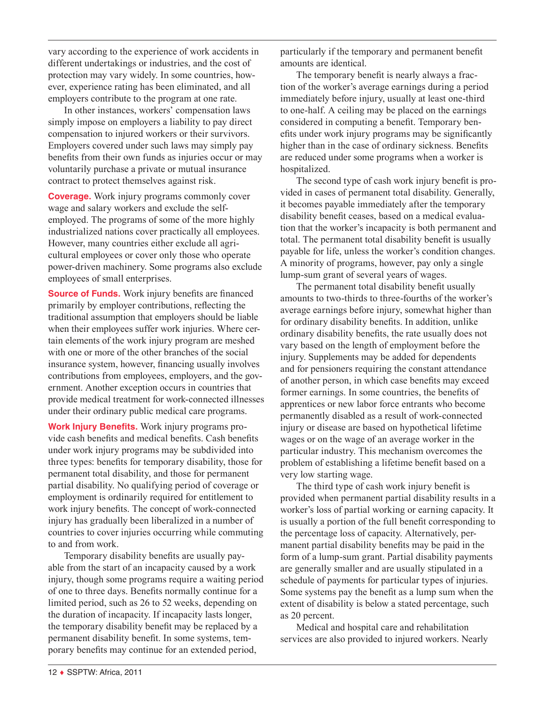vary according to the experience of work accidents in different undertakings or industries, and the cost of protection may vary widely. In some countries, however, experience rating has been eliminated, and all employers contribute to the program at one rate.

In other instances, workers' compensation laws simply impose on employers a liability to pay direct compensation to injured workers or their survivors. Employers covered under such laws may simply pay benefits from their own funds as injuries occur or may voluntarily purchase a private or mutual insurance contract to protect themselves against risk.

**Coverage.** Work injury programs commonly cover wage and salary workers and exclude the selfemployed. The programs of some of the more highly industrialized nations cover practically all employees. However, many countries either exclude all agricultural employees or cover only those who operate power-driven machinery. Some programs also exclude employees of small enterprises.

**Source of Funds.** Work injury benefits are financed primarily by employer contributions, reflecting the traditional assumption that employers should be liable when their employees suffer work injuries. Where certain elements of the work injury program are meshed with one or more of the other branches of the social insurance system, however, financing usually involves contributions from employees, employers, and the government. Another exception occurs in countries that provide medical treatment for work-connected illnesses under their ordinary public medical care programs.

**Work Injury Benefits.** Work injury programs provide cash benefits and medical benefits. Cash benefits under work injury programs may be subdivided into three types: benefits for temporary disability, those for permanent total disability, and those for permanent partial disability. No qualifying period of coverage or employment is ordinarily required for entitlement to work injury benefits. The concept of work-connected injury has gradually been liberalized in a number of countries to cover injuries occurring while commuting to and from work.

Temporary disability benefits are usually payable from the start of an incapacity caused by a work injury, though some programs require a waiting period of one to three days. Benefits normally continue for a limited period, such as 26 to 52 weeks, depending on the duration of incapacity. If incapacity lasts longer, the temporary disability benefit may be replaced by a permanent disability benefit. In some systems, temporary benefits may continue for an extended period,

particularly if the temporary and permanent benefit amounts are identical.

The temporary benefit is nearly always a fraction of the worker's average earnings during a period immediately before injury, usually at least one-third to one-half. A ceiling may be placed on the earnings considered in computing a benefit. Temporary benefits under work injury programs may be significantly higher than in the case of ordinary sickness. Benefits are reduced under some programs when a worker is hospitalized.

The second type of cash work injury benefit is provided in cases of permanent total disability. Generally, it becomes payable immediately after the temporary disability benefit ceases, based on a medical evaluation that the worker's incapacity is both permanent and total. The permanent total disability benefit is usually payable for life, unless the worker's condition changes. A minority of programs, however, pay only a single lump-sum grant of several years of wages.

The permanent total disability benefit usually amounts to two-thirds to three-fourths of the worker's average earnings before injury, somewhat higher than for ordinary disability benefits. In addition, unlike ordinary disability benefits, the rate usually does not vary based on the length of employment before the injury. Supplements may be added for dependents and for pensioners requiring the constant attendance of another person, in which case benefits may exceed former earnings. In some countries, the benefits of apprentices or new labor force entrants who become permanently disabled as a result of work-connected injury or disease are based on hypothetical lifetime wages or on the wage of an average worker in the particular industry. This mechanism overcomes the problem of establishing a lifetime benefit based on a very low starting wage.

The third type of cash work injury benefit is provided when permanent partial disability results in a worker's loss of partial working or earning capacity. It is usually a portion of the full benefit corresponding to the percentage loss of capacity. Alternatively, permanent partial disability benefits may be paid in the form of a lump-sum grant. Partial disability payments are generally smaller and are usually stipulated in a schedule of payments for particular types of injuries. Some systems pay the benefit as a lump sum when the extent of disability is below a stated percentage, such as 20 percent.

Medical and hospital care and rehabilitation services are also provided to injured workers. Nearly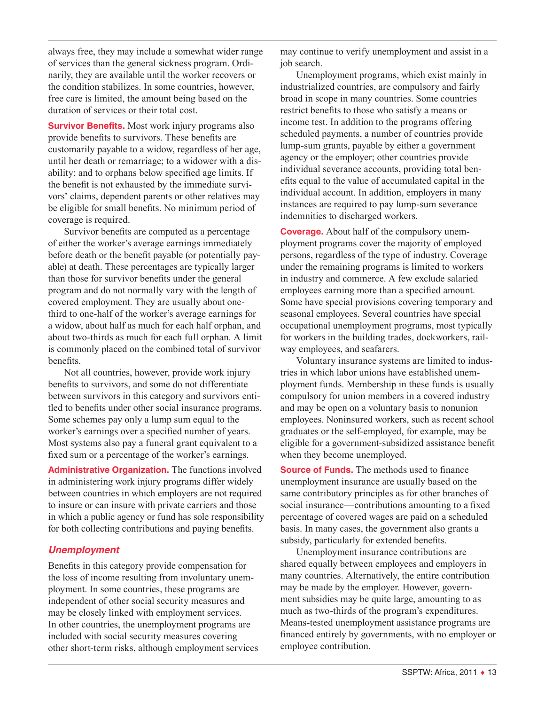always free, they may include a somewhat wider range of services than the general sickness program. Ordinarily, they are available until the worker recovers or the condition stabilizes. In some countries, however, free care is limited, the amount being based on the duration of services or their total cost.

**Survivor Benefits.** Most work injury programs also provide benefits to survivors. These benefits are customarily payable to a widow, regardless of her age, until her death or remarriage; to a widower with a disability; and to orphans below specified age limits. If the benefit is not exhausted by the immediate survivors' claims, dependent parents or other relatives may be eligible for small benefits. No minimum period of coverage is required.

Survivor benefits are computed as a percentage of either the worker's average earnings immediately before death or the benefit payable (or potentially payable) at death. These percentages are typically larger than those for survivor benefits under the general program and do not normally vary with the length of covered employment. They are usually about onethird to one-half of the worker's average earnings for a widow, about half as much for each half orphan, and about two-thirds as much for each full orphan. A limit is commonly placed on the combined total of survivor benefits.

Not all countries, however, provide work injury benefits to survivors, and some do not differentiate between survivors in this category and survivors entitled to benefits under other social insurance programs. Some schemes pay only a lump sum equal to the worker's earnings over a specified number of years. Most systems also pay a funeral grant equivalent to a fixed sum or a percentage of the worker's earnings.

**Administrative Organization.** The functions involved in administering work injury programs differ widely between countries in which employers are not required to insure or can insure with private carriers and those in which a public agency or fund has sole responsibility for both collecting contributions and paying benefits.

#### *Unemployment*

Benefits in this category provide compensation for the loss of income resulting from involuntary unemployment. In some countries, these programs are independent of other social security measures and may be closely linked with employment services. In other countries, the unemployment programs are included with social security measures covering other short-term risks, although employment services may continue to verify unemployment and assist in a job search.

Unemployment programs, which exist mainly in industrialized countries, are compulsory and fairly broad in scope in many countries. Some countries restrict benefits to those who satisfy a means or income test. In addition to the programs offering scheduled payments, a number of countries provide lump-sum grants, payable by either a government agency or the employer; other countries provide individual severance accounts, providing total benefits equal to the value of accumulated capital in the individual account. In addition, employers in many instances are required to pay lump-sum severance indemnities to discharged workers.

**Coverage.** About half of the compulsory unemployment programs cover the majority of employed persons, regardless of the type of industry. Coverage under the remaining programs is limited to workers in industry and commerce. A few exclude salaried employees earning more than a specified amount. Some have special provisions covering temporary and seasonal employees. Several countries have special occupational unemployment programs, most typically for workers in the building trades, dockworkers, railway employees, and seafarers.

Voluntary insurance systems are limited to industries in which labor unions have established unemployment funds. Membership in these funds is usually compulsory for union members in a covered industry and may be open on a voluntary basis to nonunion employees. Noninsured workers, such as recent school graduates or the self-employed, for example, may be eligible for a government-subsidized assistance benefit when they become unemployed.

**Source of Funds.** The methods used to finance unemployment insurance are usually based on the same contributory principles as for other branches of social insurance—contributions amounting to a fixed percentage of covered wages are paid on a scheduled basis. In many cases, the government also grants a subsidy, particularly for extended benefits.

Unemployment insurance contributions are shared equally between employees and employers in many countries. Alternatively, the entire contribution may be made by the employer. However, government subsidies may be quite large, amounting to as much as two-thirds of the program's expenditures. Means-tested unemployment assistance programs are financed entirely by governments, with no employer or employee contribution.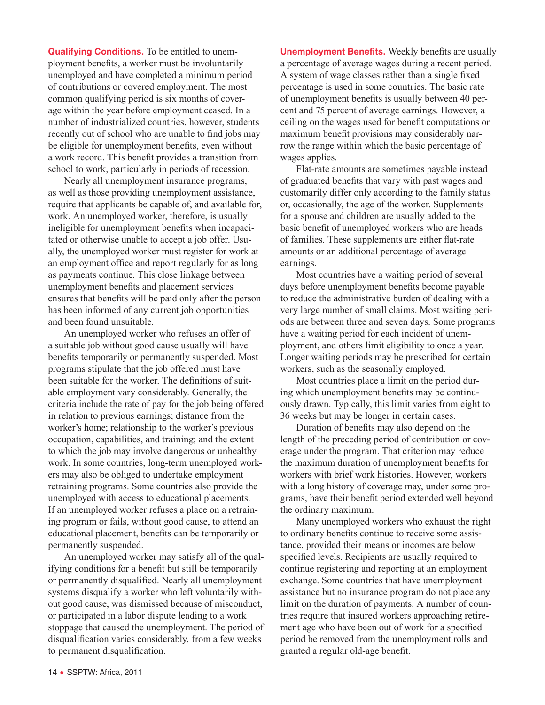**Qualifying Conditions.** To be entitled to unemployment benefits, a worker must be involuntarily unemployed and have completed a minimum period of contributions or covered employment. The most common qualifying period is six months of coverage within the year before employment ceased. In a number of industrialized countries, however, students recently out of school who are unable to find jobs may be eligible for unemployment benefits, even without a work record. This benefit provides a transition from school to work, particularly in periods of recession.

Nearly all unemployment insurance programs, as well as those providing unemployment assistance, require that applicants be capable of, and available for, work. An unemployed worker, therefore, is usually ineligible for unemployment benefits when incapacitated or otherwise unable to accept a job offer. Usually, the unemployed worker must register for work at an employment office and report regularly for as long as payments continue. This close linkage between unemployment benefits and placement services ensures that benefits will be paid only after the person has been informed of any current job opportunities and been found unsuitable.

An unemployed worker who refuses an offer of a suitable job without good cause usually will have benefits temporarily or permanently suspended. Most programs stipulate that the job offered must have been suitable for the worker. The definitions of suitable employment vary considerably. Generally, the criteria include the rate of pay for the job being offered in relation to previous earnings; distance from the worker's home; relationship to the worker's previous occupation, capabilities, and training; and the extent to which the job may involve dangerous or unhealthy work. In some countries, long-term unemployed workers may also be obliged to undertake employment retraining programs. Some countries also provide the unemployed with access to educational placements. If an unemployed worker refuses a place on a retraining program or fails, without good cause, to attend an educational placement, benefits can be temporarily or permanently suspended.

An unemployed worker may satisfy all of the qualifying conditions for a benefit but still be temporarily or permanently disqualified. Nearly all unemployment systems disqualify a worker who left voluntarily without good cause, was dismissed because of misconduct, or participated in a labor dispute leading to a work stoppage that caused the unemployment. The period of disqualification varies considerably, from a few weeks to permanent disqualification.

**Unemployment Benefits.** Weekly benefits are usually a percentage of average wages during a recent period. A system of wage classes rather than a single fixed percentage is used in some countries. The basic rate of unemployment benefits is usually between 40 percent and 75 percent of average earnings. However, a ceiling on the wages used for benefit computations or maximum benefit provisions may considerably narrow the range within which the basic percentage of wages applies.

Flat-rate amounts are sometimes payable instead of graduated benefits that vary with past wages and customarily differ only according to the family status or, occasionally, the age of the worker. Supplements for a spouse and children are usually added to the basic benefit of unemployed workers who are heads of families. These supplements are either flat-rate amounts or an additional percentage of average earnings.

Most countries have a waiting period of several days before unemployment benefits become payable to reduce the administrative burden of dealing with a very large number of small claims. Most waiting periods are between three and seven days. Some programs have a waiting period for each incident of unemployment, and others limit eligibility to once a year. Longer waiting periods may be prescribed for certain workers, such as the seasonally employed.

Most countries place a limit on the period during which unemployment benefits may be continuously drawn. Typically, this limit varies from eight to 36 weeks but may be longer in certain cases.

Duration of benefits may also depend on the length of the preceding period of contribution or coverage under the program. That criterion may reduce the maximum duration of unemployment benefits for workers with brief work histories. However, workers with a long history of coverage may, under some programs, have their benefit period extended well beyond the ordinary maximum.

Many unemployed workers who exhaust the right to ordinary benefits continue to receive some assistance, provided their means or incomes are below specified levels. Recipients are usually required to continue registering and reporting at an employment exchange. Some countries that have unemployment assistance but no insurance program do not place any limit on the duration of payments. A number of countries require that insured workers approaching retirement age who have been out of work for a specified period be removed from the unemployment rolls and granted a regular old-age benefit.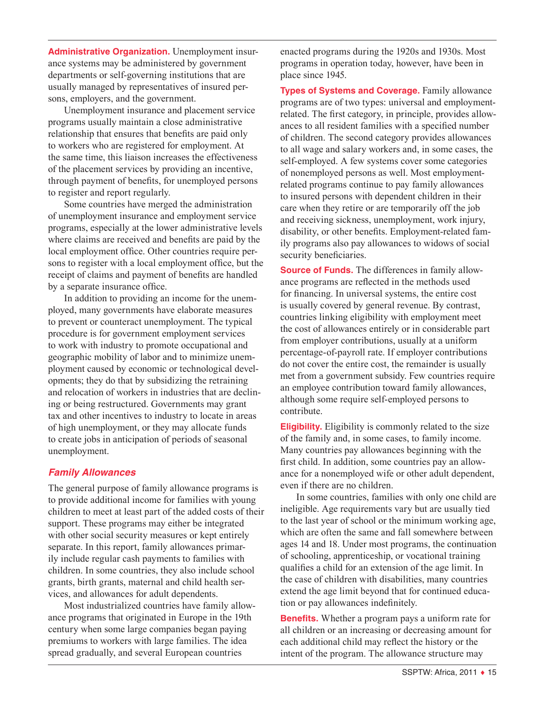**Administrative Organization.** Unemployment insurance systems may be administered by government departments or self-governing institutions that are usually managed by representatives of insured persons, employers, and the government.

Unemployment insurance and placement service programs usually maintain a close administrative relationship that ensures that benefits are paid only to workers who are registered for employment. At the same time, this liaison increases the effectiveness of the placement services by providing an incentive, through payment of benefits, for unemployed persons to register and report regularly.

Some countries have merged the administration of unemployment insurance and employment service programs, especially at the lower administrative levels where claims are received and benefits are paid by the local employment office. Other countries require persons to register with a local employment office, but the receipt of claims and payment of benefits are handled by a separate insurance office.

In addition to providing an income for the unemployed, many governments have elaborate measures to prevent or counteract unemployment. The typical procedure is for government employment services to work with industry to promote occupational and geographic mobility of labor and to minimize unemployment caused by economic or technological developments; they do that by subsidizing the retraining and relocation of workers in industries that are declining or being restructured. Governments may grant tax and other incentives to industry to locate in areas of high unemployment, or they may allocate funds to create jobs in anticipation of periods of seasonal unemployment.

#### *Family Allowances*

The general purpose of family allowance programs is to provide additional income for families with young children to meet at least part of the added costs of their support. These programs may either be integrated with other social security measures or kept entirely separate. In this report, family allowances primarily include regular cash payments to families with children. In some countries, they also include school grants, birth grants, maternal and child health services, and allowances for adult dependents.

Most industrialized countries have family allowance programs that originated in Europe in the 19th century when some large companies began paying premiums to workers with large families. The idea spread gradually, and several European countries

enacted programs during the 1920s and 1930s. Most programs in operation today, however, have been in place since 1945.

**Types of Systems and Coverage.** Family allowance programs are of two types: universal and employmentrelated. The first category, in principle, provides allowances to all resident families with a specified number of children. The second category provides allowances to all wage and salary workers and, in some cases, the self-employed. A few systems cover some categories of nonemployed persons as well. Most employmentrelated programs continue to pay family allowances to insured persons with dependent children in their care when they retire or are temporarily off the job and receiving sickness, unemployment, work injury, disability, or other benefits. Employment-related family programs also pay allowances to widows of social security beneficiaries.

**Source of Funds.** The differences in family allowance programs are reflected in the methods used for financing. In universal systems, the entire cost is usually covered by general revenue. By contrast, countries linking eligibility with employment meet the cost of allowances entirely or in considerable part from employer contributions, usually at a uniform percentage-of-payroll rate. If employer contributions do not cover the entire cost, the remainder is usually met from a government subsidy. Few countries require an employee contribution toward family allowances, although some require self-employed persons to contribute.

**Eligibility.** Eligibility is commonly related to the size of the family and, in some cases, to family income. Many countries pay allowances beginning with the first child. In addition, some countries pay an allowance for a nonemployed wife or other adult dependent, even if there are no children.

In some countries, families with only one child are ineligible. Age requirements vary but are usually tied to the last year of school or the minimum working age, which are often the same and fall somewhere between ages 14 and 18. Under most programs, the continuation of schooling, apprenticeship, or vocational training qualifies a child for an extension of the age limit. In the case of children with disabilities, many countries extend the age limit beyond that for continued education or pay allowances indefinitely.

**Benefits.** Whether a program pays a uniform rate for all children or an increasing or decreasing amount for each additional child may reflect the history or the intent of the program. The allowance structure may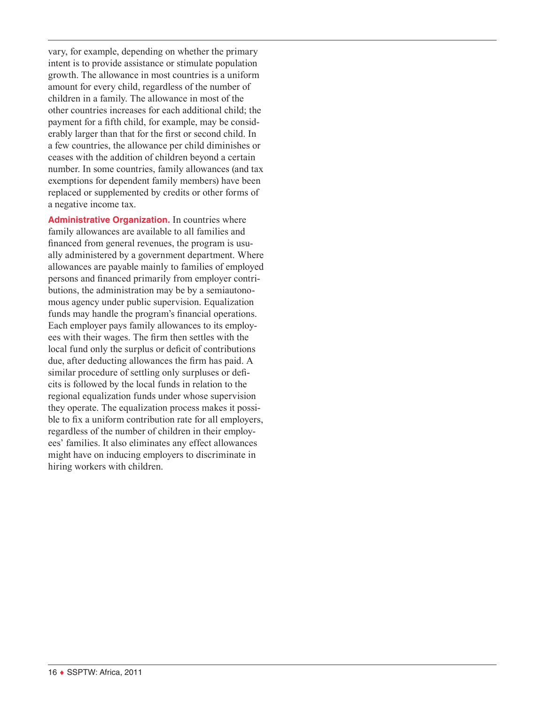vary, for example, depending on whether the primary intent is to provide assistance or stimulate population growth. The allowance in most countries is a uniform amount for every child, regardless of the number of children in a family. The allowance in most of the other countries increases for each additional child; the payment for a fifth child, for example, may be considerably larger than that for the first or second child. In a few countries, the allowance per child diminishes or ceases with the addition of children beyond a certain number. In some countries, family allowances (and tax exemptions for dependent family members) have been replaced or supplemented by credits or other forms of a negative income tax.

**Administrative Organization.** In countries where family allowances are available to all families and financed from general revenues, the program is usually administered by a government department. Where allowances are payable mainly to families of employed persons and financed primarily from employer contributions, the administration may be by a semiautonomous agency under public supervision. Equalization funds may handle the program's financial operations. Each employer pays family allowances to its employees with their wages. The firm then settles with the local fund only the surplus or deficit of contributions due, after deducting allowances the firm has paid. A similar procedure of settling only surpluses or deficits is followed by the local funds in relation to the regional equalization funds under whose supervision they operate. The equalization process makes it possible to fix a uniform contribution rate for all employers, regardless of the number of children in their employees' families. It also eliminates any effect allowances might have on inducing employers to discriminate in hiring workers with children.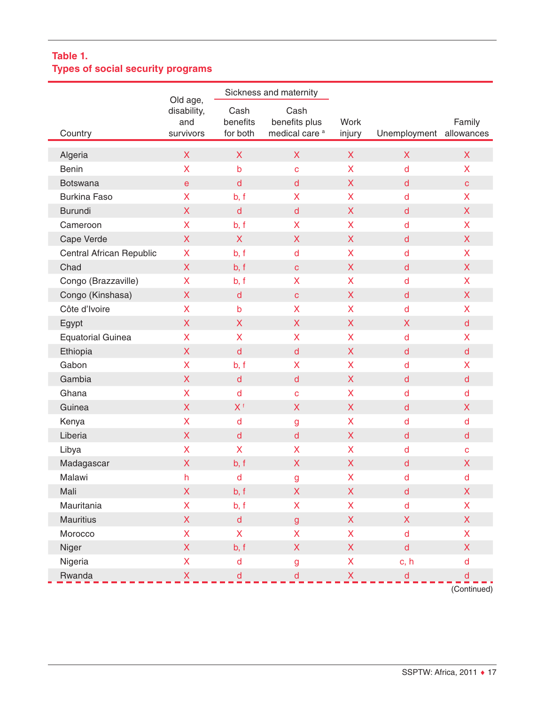# **Table 1. Types of social security programs**

|                          |                                             |                              | Sickness and maternity                             |                           |                             |                           |
|--------------------------|---------------------------------------------|------------------------------|----------------------------------------------------|---------------------------|-----------------------------|---------------------------|
| Country                  | Old age,<br>disability,<br>and<br>survivors | Cash<br>benefits<br>for both | Cash<br>benefits plus<br>medical care <sup>a</sup> | Work<br>injury            | Unemployment allowances     | Family                    |
| Algeria                  | $\mathsf{X}$                                | $\mathsf{X}$                 | $\mathsf{X}$                                       | $\boldsymbol{\mathsf{X}}$ | $\mathsf{X}$                | X                         |
| <b>Benin</b>             | X                                           | b                            | $\mathbf C$                                        | X                         | $\mathsf{d}$                | X                         |
| <b>Botswana</b>          | $\mathbf{e}$                                | $\mathsf{d}$                 | $\mathsf{d}$                                       | X                         | $\mathsf{d}$                | $\mathbf C$               |
| <b>Burkina Faso</b>      | X                                           | b, f                         | X                                                  | $\mathsf{X}$              | $\mathsf{d}$                | X                         |
| <b>Burundi</b>           | $\mathsf{X}$                                | $\mathsf{d}$                 | $\mathsf{d}$                                       | $\mathsf{X}$              | $\mathsf{d}$                | $\mathsf{X}$              |
| Cameroon                 | X                                           | b, f                         | X                                                  | $\mathsf{X}$              | $\mathsf{d}$                | X                         |
| Cape Verde               | $\mathsf{X}$                                | $\mathsf{X}$                 | $\mathsf{X}$                                       | $\mathsf{X}$              | $\mathsf{d}$                | $\mathsf{X}$              |
| Central African Republic | X                                           | b, f                         | $\mathsf{d}$                                       | $\mathsf{X}$              | $\mathsf{d}$                | X                         |
| Chad                     | X                                           | b, f                         | $\mathbf C$                                        | X                         | $\mathsf{d}$                | X                         |
| Congo (Brazzaville)      | X                                           | b, f                         | X                                                  | $\mathsf{X}$              | $\mathsf{d}$                | X                         |
| Congo (Kinshasa)         | X                                           | $\sf d$                      | $\mathbf{C}$                                       | X                         | $\mathsf{d}$                | X                         |
| Côte d'Ivoire            | X                                           | $\mathsf b$                  | X                                                  | X                         | $\mathsf{d}$                | $\mathsf{X}$              |
| Egypt                    | $\mathsf{X}$                                | $\mathsf{X}$                 | $\mathsf{X}$                                       | $\mathsf{X}$              | $\mathsf{X}$                | $\mathsf{d}$              |
| <b>Equatorial Guinea</b> | X                                           | X                            | X                                                  | X                         | $\mathsf{d}$                | X                         |
| Ethiopia                 | $\mathsf{X}$                                | $\mathsf{d}$                 | $\mathsf{d}$                                       | $\mathsf{X}$              | $\mathsf{d}$                | $\mathsf{d}$              |
| Gabon                    | X                                           | b, f                         | X                                                  | $\mathsf{X}$              | $\mathsf{d}$                | X                         |
| Gambia                   | X                                           | $\mathsf{d}$                 | $\mathsf{d}$                                       | X                         | $\mathsf{d}$                | d                         |
| Ghana                    | X                                           | $\mathsf{d}$                 | $\mathbf C$                                        | $\mathsf{X}$              | $\mathsf{d}$                | d                         |
| Guinea                   | $\mathsf{X}$                                | $X^f$                        | $\mathsf{X}$                                       | X                         | $\mathsf{d}$                | $\boldsymbol{\mathsf{X}}$ |
| Kenya                    | X                                           | $\mathsf{d}$                 | g                                                  | X                         | $\mathsf{d}$                | d                         |
| Liberia                  | $\mathsf{X}$                                | $\mathsf{d}$                 | $\mathsf{d}$                                       | $\mathsf{X}$              | $\mathsf{d}$                | d                         |
| Libya                    | X                                           | $\boldsymbol{\mathsf{X}}$    | X                                                  | X                         | $\mathsf{d}$                | C                         |
| Madagascar               | X                                           | b, f                         | $\mathsf{X}$                                       | X                         | $\mathsf{d}$                | X                         |
| Malawi                   | h                                           | d                            | $\mathbf g$                                        | X                         | d                           | d                         |
| Mali                     | $\mathsf X$                                 | b, f                         | $\boldsymbol{\mathsf{X}}$                          | $\mathsf{X}$              | $\sf d$                     | $\boldsymbol{\mathsf{X}}$ |
| Mauritania               | X                                           | b, f                         | X                                                  | $\overline{\mathsf{X}}$   | $\mathsf d$                 | $\mathsf{X}$              |
| <b>Mauritius</b>         | $\mathsf{X}$                                | $\mathsf{d}$                 | $\mathsf{g}$                                       | $\mathsf{X}$              | X                           | $\mathsf{X}$              |
| Morocco                  | X                                           | $\pmb{\mathsf{X}}$           | X                                                  | X                         | $\mathsf{d}$                | $\pmb{\mathsf{X}}$        |
| Niger                    | $\mathsf{X}$                                | b, f                         | X                                                  | $\mathsf{X}$              | $\mathsf{d}$                | $\mathsf{X}$              |
| Nigeria                  | X                                           | ${\sf d}$                    | $\mathsf g$                                        | X                         | c, h                        | d                         |
| Rwanda                   | $\mathsf X$                                 | $\sf d$                      | $\mathsf{d}$                                       | $\boldsymbol{\mathsf{X}}$ | $\operatorname{\mathsf{d}}$ | d                         |
|                          |                                             |                              |                                                    |                           |                             | (Continued)               |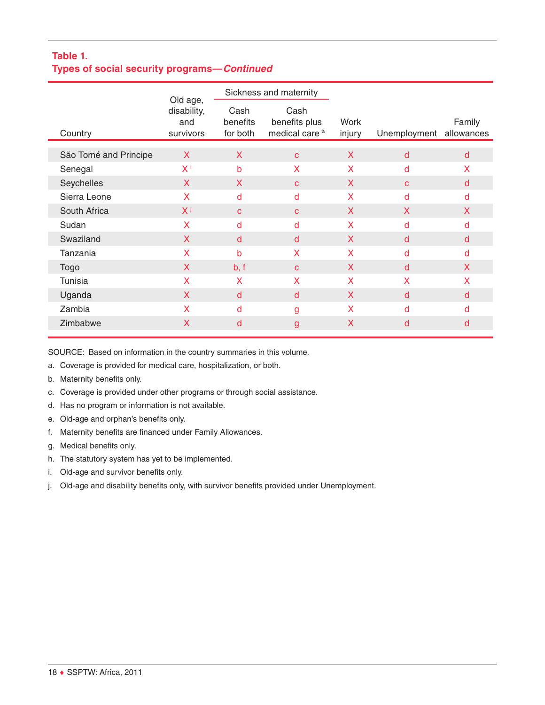# **Table 1. Types of social security programs—***Continued*

|                       |                                             |                              | Sickness and maternity                             |                       |              |                      |
|-----------------------|---------------------------------------------|------------------------------|----------------------------------------------------|-----------------------|--------------|----------------------|
| Country               | Old age,<br>disability,<br>and<br>survivors | Cash<br>benefits<br>for both | Cash<br>benefits plus<br>medical care <sup>a</sup> | <b>Work</b><br>injury | Unemployment | Family<br>allowances |
| São Tomé and Principe | X                                           | $\mathsf{X}$                 | $\mathbf{C}$                                       | X                     | d            | d                    |
|                       |                                             |                              |                                                    |                       |              |                      |
| Senegal               | Χi                                          | b                            | X                                                  | X                     | d            | X                    |
| Seychelles            | X                                           | X                            | $\mathbf{C}$                                       | $\mathsf{X}$          | $\mathbf{C}$ | d                    |
| Sierra Leone          | X                                           | d                            | d                                                  | X                     | d            | d                    |
| South Africa          | Xi                                          | $\mathbf{C}$                 | $\mathbf{C}$                                       | $\sf X$               | X            | X                    |
| Sudan                 | X                                           | d                            | d                                                  | X                     | d            | d                    |
| Swaziland             | X                                           | d                            | d                                                  | X                     | d            | d                    |
| Tanzania              | X                                           | b                            | X                                                  | X                     | d            | d                    |
| Togo                  | X                                           | b, f                         | $\mathbf{C}$                                       | X                     | d            | X                    |
| <b>Tunisia</b>        | X                                           | X                            | X                                                  | X                     | X            | X                    |
| Uganda                | X                                           | d                            | d                                                  | X                     | d            | d                    |
| Zambia                | X                                           | d                            | $\mathbf{g}$                                       | X                     | d            | d                    |
| Zimbabwe              | X                                           | d                            | g                                                  | X                     | d            | d                    |
|                       |                                             |                              |                                                    |                       |              |                      |

SOURCE: Based on information in the country summaries in this volume.

- a. Coverage is provided for medical care, hospitalization, or both.
- b. Maternity benefits only.
- c. Coverage is provided under other programs or through social assistance.
- d. Has no program or information is not available.
- e. Old-age and orphan's benefits only.
- f. Maternity benefits are financed under Family Allowances.
- g. Medical benefits only.
- h. The statutory system has yet to be implemented.
- i. Old-age and survivor benefits only.
- j. Old-age and disability benefits only, with survivor benefits provided under Unemployment.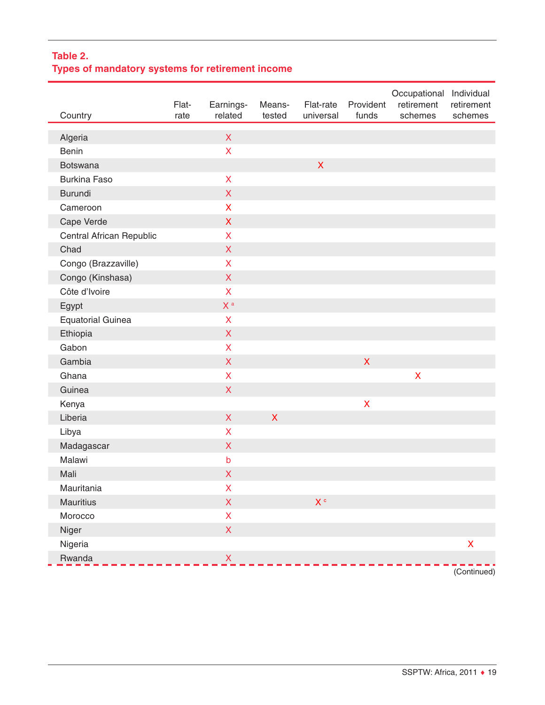# **Table 2. Types of mandatory systems for retirement income**

| Country                  | Flat-<br>rate | Earnings-<br>related      | Means-<br>tested | Flat-rate<br>universal | Provident<br>funds | Occupational<br>retirement<br>schemes | Individual<br>retirement<br>schemes |
|--------------------------|---------------|---------------------------|------------------|------------------------|--------------------|---------------------------------------|-------------------------------------|
|                          |               | $\mathsf{X}$              |                  |                        |                    |                                       |                                     |
| Algeria<br><b>Benin</b>  |               |                           |                  |                        |                    |                                       |                                     |
|                          |               | X                         |                  |                        |                    |                                       |                                     |
| <b>Botswana</b>          |               |                           |                  | $\mathsf{X}$           |                    |                                       |                                     |
| <b>Burkina Faso</b>      |               | $\boldsymbol{\mathsf{X}}$ |                  |                        |                    |                                       |                                     |
| <b>Burundi</b>           |               | $\mathsf{X}$              |                  |                        |                    |                                       |                                     |
| Cameroon                 |               | $\mathsf{x}$              |                  |                        |                    |                                       |                                     |
| Cape Verde               |               | $\mathsf{X}$              |                  |                        |                    |                                       |                                     |
| Central African Republic |               | $\mathsf{X}$              |                  |                        |                    |                                       |                                     |
| Chad                     |               | $\mathsf{X}$              |                  |                        |                    |                                       |                                     |
| Congo (Brazzaville)      |               | X                         |                  |                        |                    |                                       |                                     |
| Congo (Kinshasa)         |               | $\overline{\mathsf{X}}$   |                  |                        |                    |                                       |                                     |
| Côte d'Ivoire            |               | $\overline{\mathsf{x}}$   |                  |                        |                    |                                       |                                     |
| Egypt                    |               | X <sup>a</sup>            |                  |                        |                    |                                       |                                     |
| <b>Equatorial Guinea</b> |               | $\mathsf{X}$              |                  |                        |                    |                                       |                                     |
| Ethiopia                 |               | $\mathsf{X}$              |                  |                        |                    |                                       |                                     |
| Gabon                    |               | $\mathsf{X}$              |                  |                        |                    |                                       |                                     |
| Gambia                   |               | $\overline{\mathsf{X}}$   |                  |                        | $\mathsf{X}$       |                                       |                                     |
| Ghana                    |               | $\mathsf{X}$              |                  |                        |                    | $\boldsymbol{\mathsf{X}}$             |                                     |
| Guinea                   |               | $\mathsf{X}$              |                  |                        |                    |                                       |                                     |
| Kenya                    |               |                           |                  |                        | X                  |                                       |                                     |
| Liberia                  |               | $\boldsymbol{\mathsf{X}}$ | $\mathsf{x}$     |                        |                    |                                       |                                     |
| Libya                    |               | $\mathsf{X}$              |                  |                        |                    |                                       |                                     |
| Madagascar               |               | $\pmb{\mathsf{X}}$        |                  |                        |                    |                                       |                                     |
| Malawi                   |               | $\mathsf b$               |                  |                        |                    |                                       |                                     |
| Mali                     |               | X                         |                  |                        |                    |                                       |                                     |
| Mauritania               |               | Χ                         |                  |                        |                    |                                       |                                     |
| Mauritius                |               | $\mathsf X$               |                  | X <sup>c</sup>         |                    |                                       |                                     |
| Morocco                  |               | $\bar{\mathsf{X}}$        |                  |                        |                    |                                       |                                     |
| Niger                    |               | $\mathsf X$               |                  |                        |                    |                                       |                                     |
| Nigeria                  |               |                           |                  |                        |                    |                                       | $\bar{\mathsf{X}}$                  |
| Rwanda                   |               | $\boldsymbol{\mathsf{X}}$ |                  |                        |                    |                                       |                                     |
|                          |               |                           |                  |                        |                    |                                       | (Continued)                         |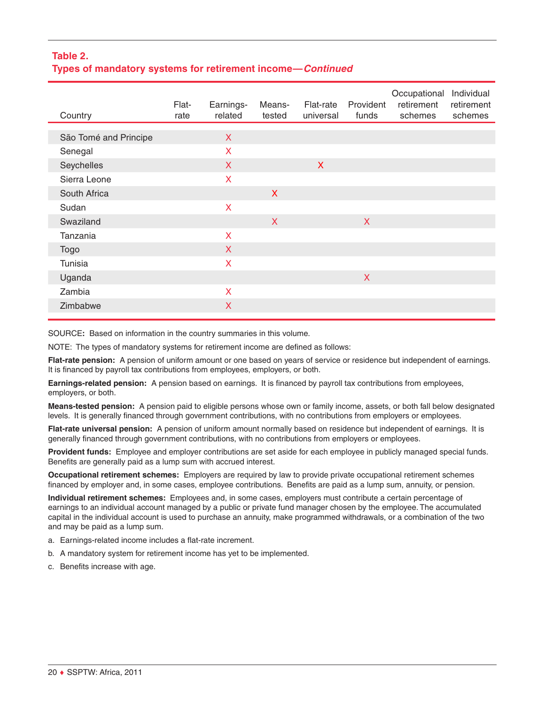# **Table 2. Types of mandatory systems for retirement income—***Continued*

| Country               | Flat-<br>rate | Earnings-<br>related    | Means-<br>tested          | Flat-rate<br>universal | Provident<br>funds | Occupational<br>retirement<br>schemes | Individual<br>retirement<br>schemes |
|-----------------------|---------------|-------------------------|---------------------------|------------------------|--------------------|---------------------------------------|-------------------------------------|
|                       |               |                         |                           |                        |                    |                                       |                                     |
| São Tomé and Principe |               | X                       |                           |                        |                    |                                       |                                     |
| Senegal               |               | $\mathsf{X}$            |                           |                        |                    |                                       |                                     |
| Seychelles            |               | X                       |                           | $\mathsf{X}$           |                    |                                       |                                     |
| Sierra Leone          |               | $\overline{\mathsf{X}}$ |                           |                        |                    |                                       |                                     |
| South Africa          |               |                         | $\boldsymbol{\mathsf{X}}$ |                        |                    |                                       |                                     |
| Sudan                 |               | X                       |                           |                        |                    |                                       |                                     |
| Swaziland             |               |                         | $\mathsf{X}$              |                        | $\mathsf{X}$       |                                       |                                     |
| Tanzania              |               | X                       |                           |                        |                    |                                       |                                     |
| Togo                  |               | X                       |                           |                        |                    |                                       |                                     |
| Tunisia               |               | $\overline{\mathsf{X}}$ |                           |                        |                    |                                       |                                     |
| Uganda                |               |                         |                           |                        | $\mathsf{X}$       |                                       |                                     |
| Zambia                |               | X                       |                           |                        |                    |                                       |                                     |
| Zimbabwe              |               | X                       |                           |                        |                    |                                       |                                     |
|                       |               |                         |                           |                        |                    |                                       |                                     |

SOURCE**:** Based on information in the country summaries in this volume.

NOTE: The types of mandatory systems for retirement income are defined as follows:

**Flat-rate pension:** A pension of uniform amount or one based on years of service or residence but independent of earnings. It is financed by payroll tax contributions from employees, employers, or both.

**Earnings-related pension:** A pension based on earnings. It is financed by payroll tax contributions from employees, employers, or both.

**Means-tested pension:** A pension paid to eligible persons whose own or family income, assets, or both fall below designated levels. It is generally financed through government contributions, with no contributions from employers or employees.

**Flat-rate universal pension:** A pension of uniform amount normally based on residence but independent of earnings. It is generally financed through government contributions, with no contributions from employers or employees.

**Provident funds:** Employee and employer contributions are set aside for each employee in publicly managed special funds. Benefits are generally paid as a lump sum with accrued interest.

**Occupational retirement schemes:** Employers are required by law to provide private occupational retirement schemes financed by employer and, in some cases, employee contributions. Benefits are paid as a lump sum, annuity, or pension.

**Individual retirement schemes:** Employees and, in some cases, employers must contribute a certain percentage of earnings to an individual account managed by a public or private fund manager chosen by the employee. The accumulated capital in the individual account is used to purchase an annuity, make programmed withdrawals, or a combination of the two and may be paid as a lump sum.

- a. Earnings-related income includes a flat-rate increment.
- b. A mandatory system for retirement income has yet to be implemented.
- c. Benefits increase with age.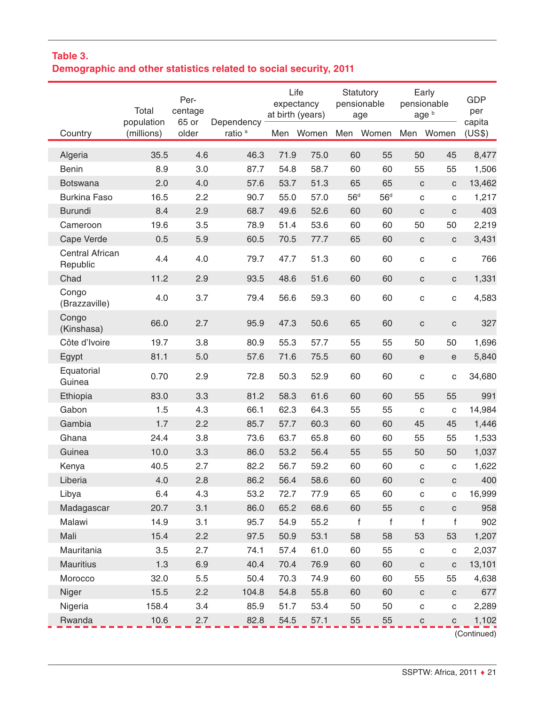# **Table 3. Demographic and other statistics related to social security, 2011**

|                                    | Total<br>population | Per-<br>centage<br>65 or | Dependency         |      | Life<br>expectancy<br>at birth (years) |                 | Statutory<br>pensionable<br>age |                       | Early<br>pensionable<br>age b | <b>GDP</b><br>per<br>capita |
|------------------------------------|---------------------|--------------------------|--------------------|------|----------------------------------------|-----------------|---------------------------------|-----------------------|-------------------------------|-----------------------------|
| Country                            | (millions)          | older                    | ratio <sup>a</sup> |      | Men Women                              |                 | Men Women                       |                       | Men Women                     | (US\$)                      |
| Algeria                            | 35.5                | 4.6                      | 46.3               | 71.9 | 75.0                                   | 60              | 55                              | 50                    | 45                            | 8,477                       |
| Benin                              | 8.9                 | 3.0                      | 87.7               | 54.8 | 58.7                                   | 60              | 60                              | 55                    | 55                            | 1,506                       |
| <b>Botswana</b>                    | 2.0                 | 4.0                      | 57.6               | 53.7 | 51.3                                   | 65              | 65                              | $\mathbf C$           | $\mathbf C$                   | 13,462                      |
| <b>Burkina Faso</b>                | 16.5                | 2.2                      | 90.7               | 55.0 | 57.0                                   | 56 <sup>d</sup> | 56 <sup>d</sup>                 | $\mathbf C$           | C                             | 1,217                       |
| <b>Burundi</b>                     | 8.4                 | 2.9                      | 68.7               | 49.6 | 52.6                                   | 60              | 60                              | $\mathbf C$           | $\mathbf C$                   | 403                         |
| Cameroon                           | 19.6                | 3.5                      | 78.9               | 51.4 | 53.6                                   | 60              | 60                              | 50                    | 50                            | 2,219                       |
| Cape Verde                         | 0.5                 | 5.9                      | 60.5               | 70.5 | 77.7                                   | 65              | 60                              | ${\bf C}$             | ${\bf C}$                     | 3,431                       |
| <b>Central African</b><br>Republic | 4.4                 | 4.0                      | 79.7               | 47.7 | 51.3                                   | 60              | 60                              | $\mathbf C$           | $\mathbf C$                   | 766                         |
| Chad                               | 11.2                | 2.9                      | 93.5               | 48.6 | 51.6                                   | 60              | 60                              | $\mathbf C$           | $\mathbf C$                   | 1,331                       |
| Congo<br>(Brazzaville)             | 4.0                 | 3.7                      | 79.4               | 56.6 | 59.3                                   | 60              | 60                              | $\mathbf C$           | $\mathbf C$                   | 4,583                       |
| Congo<br>(Kinshasa)                | 66.0                | 2.7                      | 95.9               | 47.3 | 50.6                                   | 65              | 60                              | ${\bf C}$             | $\mathbf C$                   | 327                         |
| Côte d'Ivoire                      | 19.7                | 3.8                      | 80.9               | 55.3 | 57.7                                   | 55              | 55                              | 50                    | 50                            | 1,696                       |
| Egypt                              | 81.1                | 5.0                      | 57.6               | 71.6 | 75.5                                   | 60              | 60                              | $\mathop{\mathrm{e}}$ | $\mathsf e$                   | 5,840                       |
| Equatorial<br>Guinea               | 0.70                | 2.9                      | 72.8               | 50.3 | 52.9                                   | 60              | 60                              | $\mathbf C$           | C                             | 34,680                      |
| Ethiopia                           | 83.0                | 3.3                      | 81.2               | 58.3 | 61.6                                   | 60              | 60                              | 55                    | 55                            | 991                         |
| Gabon                              | 1.5                 | 4.3                      | 66.1               | 62.3 | 64.3                                   | 55              | 55                              | C                     | C                             | 14,984                      |
| Gambia                             | 1.7                 | 2.2                      | 85.7               | 57.7 | 60.3                                   | 60              | 60                              | 45                    | 45                            | 1,446                       |
| Ghana                              | 24.4                | 3.8                      | 73.6               | 63.7 | 65.8                                   | 60              | 60                              | 55                    | 55                            | 1,533                       |
| Guinea                             | 10.0                | 3.3                      | 86.0               | 53.2 | 56.4                                   | 55              | 55                              | 50                    | 50                            | 1,037                       |
| Kenya                              | 40.5                | 2.7                      | 82.2               | 56.7 | 59.2                                   | 60              | 60                              | C                     | $\mathbf C$                   | 1,622                       |
| Liberia                            | 4.0                 | 2.8                      | 86.2               | 56.4 | 58.6                                   | 60              | 60                              | с                     | C                             | 400                         |
| Libya                              | 6.4                 | 4.3                      | 53.2               | 72.7 | 77.9                                   | 65              | 60                              | $\mathbf C$           | $\mathbf C$                   | 16,999                      |
| Madagascar                         | 20.7                | 3.1                      | 86.0               | 65.2 | 68.6                                   | 60              | 55                              | $\mathbf C$           | $\mathsf C$                   | 958                         |
| Malawi                             | 14.9                | 3.1                      | 95.7               | 54.9 | 55.2                                   | f               | f                               |                       | $\mathsf f$<br>$\mathsf f$    | 902                         |
| Mali                               | 15.4                | 2.2                      | 97.5               | 50.9 | 53.1                                   | 58              | 58                              | 53                    | 53                            | 1,207                       |
| Mauritania                         | 3.5                 | 2.7                      | 74.1               | 57.4 | 61.0                                   | 60              | 55                              | C                     | $\mathbf C$                   | 2,037                       |
| <b>Mauritius</b>                   | 1.3                 | 6.9                      | 40.4               | 70.4 | 76.9                                   | 60              | 60                              | $\mathbf C$           | C                             | 13,101                      |
| Morocco                            | 32.0                | 5.5                      | 50.4               | 70.3 | 74.9                                   | 60              | 60                              | 55                    | 55                            | 4,638                       |
| Niger                              | 15.5                | 2.2                      | 104.8              | 54.8 | 55.8                                   | 60              | 60                              | ${\bf C}$             | ${\bf C}$                     | 677                         |
| Nigeria                            | 158.4               | 3.4                      | 85.9               | 51.7 | 53.4                                   | 50              | 50                              | $\mathbf C$           | С                             | 2,289                       |
| Rwanda                             | 10.6                | 2.7                      | 82.8               | 54.5 | 57.1                                   | 55              | 55                              | $\mathbf C$           | ${\bf C}$                     | 1,102                       |

(Continued)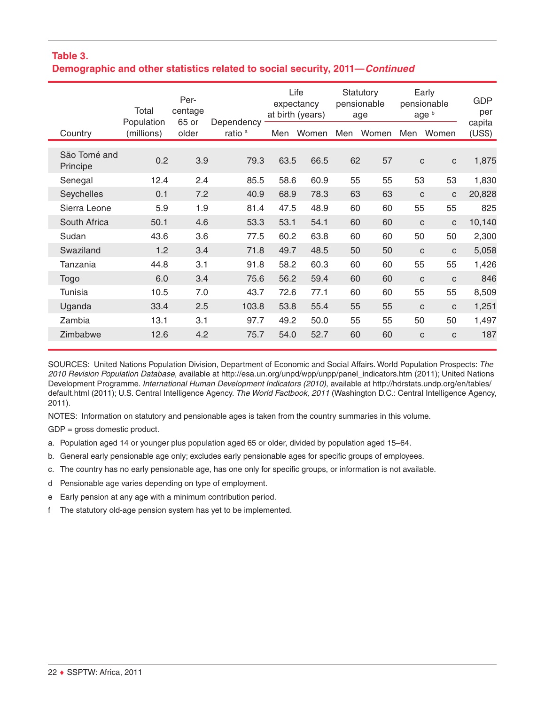# **Table 3. Demographic and other statistics related to social security, 2011—***Continued*

|                          | Total<br>Population | Per-<br>centage<br>65 or | Dependency         |      | Life<br>expectancy<br>at birth (years) |     | Statutory<br>pensionable<br>age | Early<br>pensionable<br>age b |             | <b>GDP</b><br>per<br>capita |
|--------------------------|---------------------|--------------------------|--------------------|------|----------------------------------------|-----|---------------------------------|-------------------------------|-------------|-----------------------------|
| Country                  | (millions)          | older                    | ratio <sup>a</sup> | Men  | Women                                  | Men | Women                           | Men                           | Women       | (US\$)                      |
| São Tomé and<br>Principe | 0.2                 | 3.9                      | 79.3               | 63.5 | 66.5                                   | 62  | 57                              | C                             | $\mathbf C$ | 1,875                       |
| Senegal                  | 12.4                | 2.4                      | 85.5               | 58.6 | 60.9                                   | 55  | 55                              | 53                            | 53          | 1,830                       |
| Seychelles               | 0.1                 | 7.2                      | 40.9               | 68.9 | 78.3                                   | 63  | 63                              | $\mathsf{C}$                  | $\mathbf C$ | 20,828                      |
| Sierra Leone             | 5.9                 | 1.9                      | 81.4               | 47.5 | 48.9                                   | 60  | 60                              | 55                            | 55          | 825                         |
| South Africa             | 50.1                | 4.6                      | 53.3               | 53.1 | 54.1                                   | 60  | 60                              | $\mathbf{C}$                  | $\mathbf C$ | 10,140                      |
| Sudan                    | 43.6                | 3.6                      | 77.5               | 60.2 | 63.8                                   | 60  | 60                              | 50                            | 50          | 2,300                       |
| Swaziland                | 1.2                 | 3.4                      | 71.8               | 49.7 | 48.5                                   | 50  | 50                              | $\mathbf{C}$                  | $\mathbf C$ | 5,058                       |
| Tanzania                 | 44.8                | 3.1                      | 91.8               | 58.2 | 60.3                                   | 60  | 60                              | 55                            | 55          | 1,426                       |
| <b>Togo</b>              | 6.0                 | 3.4                      | 75.6               | 56.2 | 59.4                                   | 60  | 60                              | $\mathbf{C}$                  | $\mathbf C$ | 846                         |
| Tunisia                  | 10.5                | 7.0                      | 43.7               | 72.6 | 77.1                                   | 60  | 60                              | 55                            | 55          | 8,509                       |
| Uganda                   | 33.4                | 2.5                      | 103.8              | 53.8 | 55.4                                   | 55  | 55                              | $\mathsf{C}$                  | $\mathbf C$ | 1,251                       |
| Zambia                   | 13.1                | 3.1                      | 97.7               | 49.2 | 50.0                                   | 55  | 55                              | 50                            | 50          | 1,497                       |
| Zimbabwe                 | 12.6                | 4.2                      | 75.7               | 54.0 | 52.7                                   | 60  | 60                              | $\mathsf{C}$                  | C           | 187                         |
|                          |                     |                          |                    |      |                                        |     |                                 |                               |             |                             |

SOURCES: United Nations Population Division, Department of Economic and Social Affairs. World Population Prospects: *The 2010 Revision Population Database*, available at [http://esa.un.org/unpd/wpp/unpp/panel\\_indicators.htm](http://esa.un.org/unpd/wpp/unpp/panel_indicators.htm) (2011); United Nations Development Programme. *International Human Development Indicators (2010)*, available at [http://hdrstats.undp.org/en/tables/](http://hdrstats.undp.org/en/tables/default.html) [default.html](http://hdrstats.undp.org/en/tables/default.html) (2011); U.S. Central Intelligence Agency. *The World Factbook, 2011* (Washington D.C.: Central Intelligence Agency, 2011).

NOTES: Information on statutory and pensionable ages is taken from the country summaries in this volume.

GDP = gross domestic product.

- a. Population aged 14 or younger plus population aged 65 or older, divided by population aged 15–64.
- b. General early pensionable age only; excludes early pensionable ages for specific groups of employees.
- c. The country has no early pensionable age, has one only for specific groups, or information is not available.
- d Pensionable age varies depending on type of employment.
- e Early pension at any age with a minimum contribution period.
- f The statutory old-age pension system has yet to be implemented.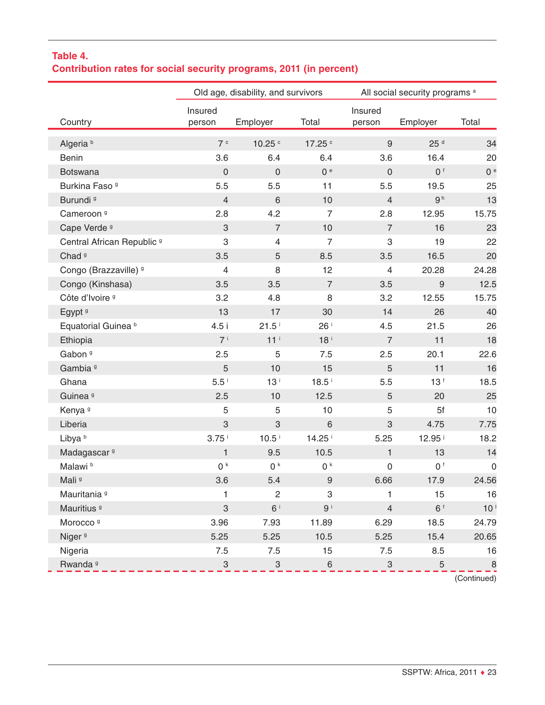# **Table 4. Contribution rates for social security programs, 2011 (in percent)**

|                                       | Old age, disability, and survivors |                           |                      |                           | All social security programs a |                 |  |  |
|---------------------------------------|------------------------------------|---------------------------|----------------------|---------------------------|--------------------------------|-----------------|--|--|
| Country                               | Insured<br>person                  | Employer                  | Total                | Insured<br>person         | Employer                       | Total           |  |  |
| Algeria <sup>b</sup>                  | 7c                                 | 10.25 c                   | 17.25 <sup>c</sup>   | 9                         | 25 <sup>d</sup>                | 34              |  |  |
| <b>Benin</b>                          | 3.6                                | 6.4                       | 6.4                  | 3.6                       | 16.4                           | 20              |  |  |
| <b>Botswana</b>                       | $\mathsf{O}\xspace$                | $\mathsf{O}\xspace$       | 0 <sup>e</sup>       | $\mathbf 0$               | 0 <sup>†</sup>                 | 0 <sup>e</sup>  |  |  |
| Burkina Faso <sup>9</sup>             | 5.5                                | 5.5                       | 11                   | 5.5                       | 19.5                           | 25              |  |  |
| Burundi <sup>9</sup>                  | $\overline{4}$                     | $6\,$                     | 10                   | $\overline{4}$            | 9 <sup>h</sup>                 | 13              |  |  |
| Cameroon <sup>9</sup>                 | 2.8                                | 4.2                       | $\overline{7}$       | 2.8                       | 12.95                          | 15.75           |  |  |
| Cape Verde <sup>9</sup>               | 3                                  | $\overline{7}$            | 10                   | $\overline{7}$            | 16                             | 23              |  |  |
| Central African Republic <sup>9</sup> | 3                                  | $\overline{4}$            | $\overline{7}$       | 3                         | 19                             | 22              |  |  |
| Chad <sup>9</sup>                     | 3.5                                | 5                         | 8.5                  | 3.5                       | 16.5                           | 20              |  |  |
| Congo (Brazzaville) 9                 | $\overline{4}$                     | 8                         | 12                   | $\overline{4}$            | 20.28                          | 24.28           |  |  |
| Congo (Kinshasa)                      | 3.5                                | 3.5                       | $\overline{7}$       | 3.5                       | $\boldsymbol{9}$               | 12.5            |  |  |
| Côte d'Ivoire <sup>9</sup>            | 3.2                                | 4.8                       | 8                    | 3.2                       | 12.55                          | 15.75           |  |  |
| Egypt <sup>9</sup>                    | 13                                 | 17                        | 30                   | 14                        | 26                             | 40              |  |  |
| Equatorial Guinea b                   | 4.5i                               | $21.5$ <sup>i</sup>       | 26                   | 4.5                       | 21.5                           | 26              |  |  |
| Ethiopia                              | 7 <sup>i</sup>                     | 11 <sup>1</sup>           | 18 <sup>i</sup>      | $\overline{7}$            | 11                             | 18              |  |  |
| Gabon <sup>9</sup>                    | 2.5                                | $\sqrt{5}$                | 7.5                  | 2.5                       | 20.1                           | 22.6            |  |  |
| Gambia <sup>9</sup>                   | 5                                  | 10                        | 15                   | $\overline{5}$            | 11                             | 16              |  |  |
| Ghana                                 | $5.5\,^{\rm i}$                    | 13 <sup>i</sup>           | $18.5$ <sup>i</sup>  | 5.5                       | 13 <sup>†</sup>                | 18.5            |  |  |
| Guinea <sup>9</sup>                   | 2.5                                | 10                        | 12.5                 | $\overline{5}$            | 20                             | 25              |  |  |
| Kenya <sup>9</sup>                    | 5                                  | 5                         | 10                   | 5                         | 5f                             | 10              |  |  |
| Liberia                               | 3                                  | $\mathfrak{S}$            | $6\,$                | $\ensuremath{\mathsf{3}}$ | 4.75                           | 7.75            |  |  |
| Libya <sup>b</sup>                    | $3.75$ <sup>i</sup>                | $10.5$ <sup>i</sup>       | $14.25$ <sup>i</sup> | 5.25                      | 12.95                          | 18.2            |  |  |
| Madagascar <sup>9</sup>               | 1                                  | 9.5                       | 10.5                 | $\mathbf{1}$              | 13                             | 14              |  |  |
| Malawi <sup>b</sup>                   | 0 <sup>k</sup>                     | 0 <sup>k</sup>            | 0 <sup>k</sup>       | $\mathbf 0$               | 0 <sup>†</sup>                 | $\pmb{0}$       |  |  |
| Mali <sup>9</sup>                     | 3.6                                | 5.4                       | 9                    | 6.66                      | 17.9                           | 24.56           |  |  |
| Mauritania <sup>9</sup>               | 1                                  | $\overline{c}$            | 3                    | 1                         | 15                             | 16              |  |  |
| Mauritius <sup>9</sup>                | 3                                  | 6 <sup>i</sup>            | 9 <sup>i</sup>       | $\overline{4}$            | 6 <sup>†</sup>                 | 10 <sup>1</sup> |  |  |
| Morocco <sup>9</sup>                  | 3.96                               | 7.93                      | 11.89                | 6.29                      | 18.5                           | 24.79           |  |  |
| Niger <sup>9</sup>                    | 5.25                               | 5.25                      | 10.5                 | 5.25                      | 15.4                           | 20.65           |  |  |
| Nigeria                               | 7.5                                | 7.5                       | 15                   | 7.5                       | 8.5                            | 16              |  |  |
| Rwanda <sup>9</sup>                   | 3                                  | $\ensuremath{\mathsf{3}}$ | $6\phantom{1}6$      | 3                         | 5                              | $\overline{8}$  |  |  |

(Continued)